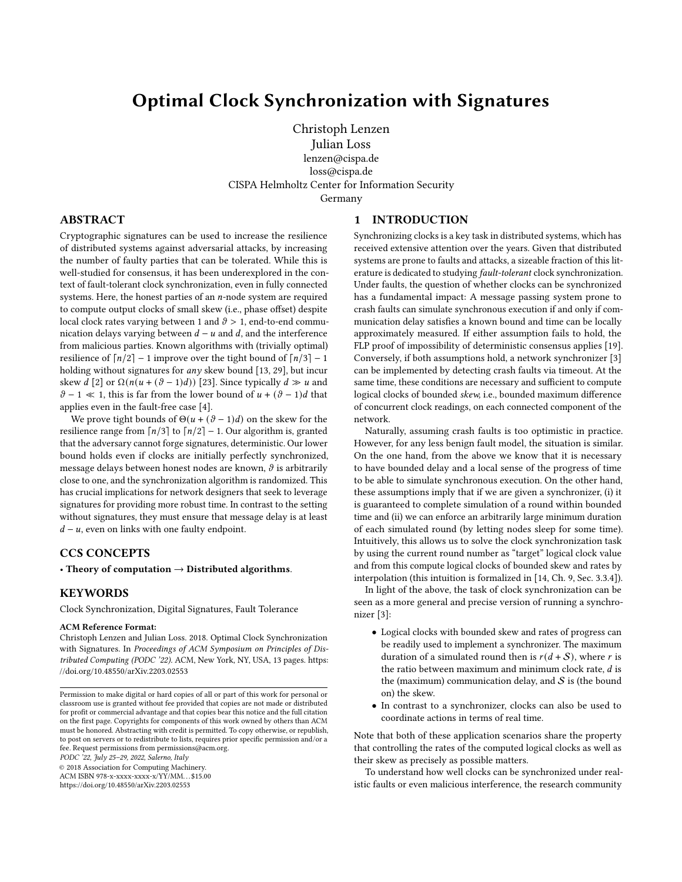# Optimal Clock Synchronization with Signatures

Christoph Lenzen Julian Loss lenzen@cispa.de loss@cispa.de CISPA Helmholtz Center for Information Security Germany

1 INTRODUCTION

# ABSTRACT

Cryptographic signatures can be used to increase the resilience of distributed systems against adversarial attacks, by increasing the number of faulty parties that can be tolerated. While this is well-studied for consensus, it has been underexplored in the context of fault-tolerant clock synchronization, even in fully connected systems. Here, the honest parties of an  $n$ -node system are required to compute output clocks of small skew (i.e., phase offset) despite local clock rates varying between 1 and  $\vartheta > 1$ , end-to-end communication delays varying between  $d - u$  and d, and the interference from malicious parties. Known algorithms with (trivially optimal) resilience of  $\lceil n/2 \rceil - 1$  improve over the tight bound of  $\lceil n/3 \rceil - 1$ holding without signatures for  $any$  skew bound [\[13,](#page-9-0) [29\]](#page-9-1), but incur skew *d* [\[2\]](#page-9-2) or  $\Omega(n(u + (\vartheta - 1)d))$  [\[23\]](#page-9-3). Since typically  $d \gg u$  and  $\theta$  – 1 ≪ 1, this is far from the lower bound of  $u + (\theta - 1)d$  that applies even in the fault-free case [\[4\]](#page-9-4).

We prove tight bounds of  $\Theta(u + (\vartheta - 1)d)$  on the skew for the resilience range from  $\lceil n/3 \rceil$  to  $\lceil n/2 \rceil - 1$ . Our algorithm is, granted that the adversary cannot forge signatures, deterministic. Our lower bound holds even if clocks are initially perfectly synchronized, message delays between honest nodes are known,  $\vartheta$  is arbitrarily close to one, and the synchronization algorithm is randomized. This has crucial implications for network designers that seek to leverage signatures for providing more robust time. In contrast to the setting without signatures, they must ensure that message delay is at least  $d - u$ , even on links with one faulty endpoint.

# CCS CONCEPTS

• Theory of computation  $\rightarrow$  Distributed algorithms.

# KEYWORDS

Clock Synchronization, Digital Signatures, Fault Tolerance

### ACM Reference Format:

Christoph Lenzen and Julian Loss. 2018. Optimal Clock Synchronization with Signatures. In Proceedings of ACM Symposium on Principles of Distributed Computing (PODC '22). ACM, New York, NY, USA, [13](#page-12-0) pages. [https:](https://doi.org/10.48550/arXiv.2203.02553) [//doi.org/10.48550/arXiv.2203.02553](https://doi.org/10.48550/arXiv.2203.02553)

PODC '22, July 25–29, 2022, Salerno, Italy

© 2018 Association for Computing Machinery.

ACM ISBN 978-x-xxxx-xxxx-x/YY/MM. . . \$15.00 <https://doi.org/10.48550/arXiv.2203.02553>

Synchronizing clocks is a key task in distributed systems, which has received extensive attention over the years. Given that distributed systems are prone to faults and attacks, a sizeable fraction of this literature is dedicated to studying fault-tolerant clock synchronization. Under faults, the question of whether clocks can be synchronized has a fundamental impact: A message passing system prone to crash faults can simulate synchronous execution if and only if communication delay satisfies a known bound and time can be locally approximately measured. If either assumption fails to hold, the FLP proof of impossibility of deterministic consensus applies [\[19\]](#page-9-5). Conversely, if both assumptions hold, a network synchronizer [\[3\]](#page-9-6) can be implemented by detecting crash faults via timeout. At the same time, these conditions are necessary and sufficient to compute logical clocks of bounded skew, i.e., bounded maximum difference of concurrent clock readings, on each connected component of the network.

Naturally, assuming crash faults is too optimistic in practice. However, for any less benign fault model, the situation is similar. On the one hand, from the above we know that it is necessary to have bounded delay and a local sense of the progress of time to be able to simulate synchronous execution. On the other hand, these assumptions imply that if we are given a synchronizer, (i) it is guaranteed to complete simulation of a round within bounded time and (ii) we can enforce an arbitrarily large minimum duration of each simulated round (by letting nodes sleep for some time). Intuitively, this allows us to solve the clock synchronization task by using the current round number as "target" logical clock value and from this compute logical clocks of bounded skew and rates by interpolation (this intuition is formalized in [\[14,](#page-9-7) Ch. 9, Sec. 3.3.4]).

In light of the above, the task of clock synchronization can be seen as a more general and precise version of running a synchronizer [\[3\]](#page-9-6):

- Logical clocks with bounded skew and rates of progress can be readily used to implement a synchronizer. The maximum duration of a simulated round then is  $r(d + S)$ , where r is the ratio between maximum and minimum clock rate,  $d$  is the (maximum) communication delay, and  $S$  is (the bound on) the skew.
- In contrast to a synchronizer, clocks can also be used to coordinate actions in terms of real time.

Note that both of these application scenarios share the property that controlling the rates of the computed logical clocks as well as their skew as precisely as possible matters.

To understand how well clocks can be synchronized under realistic faults or even malicious interference, the research community

Permission to make digital or hard copies of all or part of this work for personal or classroom use is granted without fee provided that copies are not made or distributed for profit or commercial advantage and that copies bear this notice and the full citation on the first page. Copyrights for components of this work owned by others than ACM must be honored. Abstracting with credit is permitted. To copy otherwise, or republish, to post on servers or to redistribute to lists, requires prior specific permission and/or a fee. Request permissions from permissions@acm.org.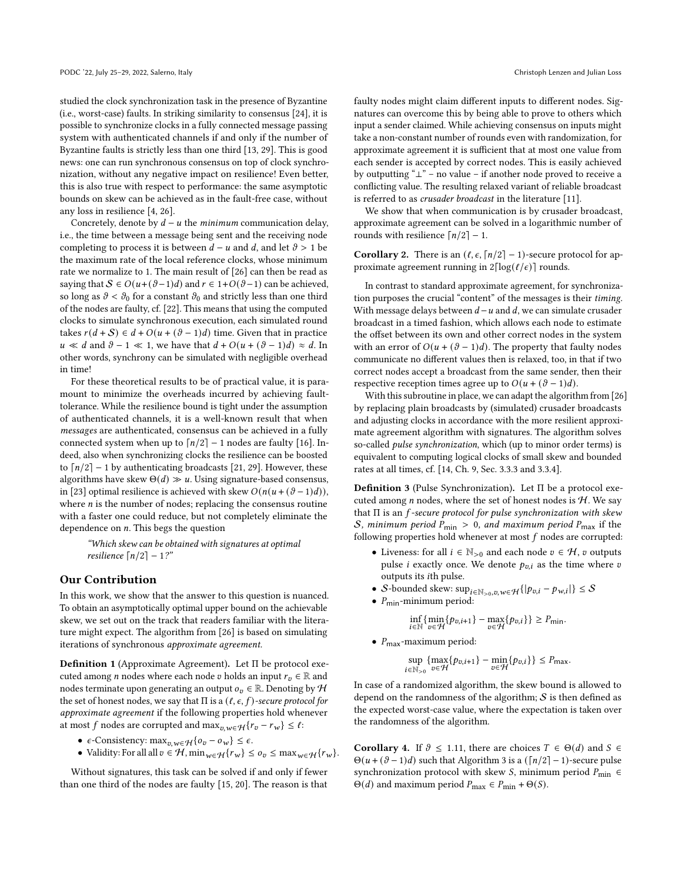studied the clock synchronization task in the presence of Byzantine (i.e., worst-case) faults. In striking similarity to consensus [\[24\]](#page-9-8), it is possible to synchronize clocks in a fully connected message passing system with authenticated channels if and only if the number of Byzantine faults is strictly less than one third [\[13,](#page-9-0) [29\]](#page-9-1). This is good news: one can run synchronous consensus on top of clock synchronization, without any negative impact on resilience! Even better, this is also true with respect to performance: the same asymptotic bounds on skew can be achieved as in the fault-free case, without any loss in resilience [\[4,](#page-9-4) [26\]](#page-9-9).

Concretely, denote by  $d - u$  the minimum communication delay, i.e., the time between a message being sent and the receiving node completing to process it is between  $d - u$  and  $d$ , and let  $\vartheta > 1$  be the maximum rate of the local reference clocks, whose minimum rate we normalize to 1. The main result of [\[26\]](#page-9-9) can then be read as saying that  $S \in O(u + (\vartheta - 1)d)$  and  $r \in 1+O(\vartheta - 1)$  can be achieved, so long as  $\vartheta < \vartheta_0$  for a constant  $\vartheta_0$  and strictly less than one third of the nodes are faulty, cf. [\[22\]](#page-9-10). This means that using the computed clocks to simulate synchronous execution, each simulated round takes  $r(d + S) \in d + O(u + (\vartheta - 1)d)$  time. Given that in practice  $u \ll d$  and  $\vartheta - 1 \ll 1$ , we have that  $d + O(u + (\vartheta - 1)d) \approx d$ . In other words, synchrony can be simulated with negligible overhead in time!

For these theoretical results to be of practical value, it is paramount to minimize the overheads incurred by achieving faulttolerance. While the resilience bound is tight under the assumption of authenticated channels, it is a well-known result that when messages are authenticated, consensus can be achieved in a fully connected system when up to  $\lceil n/2 \rceil - 1$  nodes are faulty [\[16\]](#page-9-11). Indeed, also when synchronizing clocks the resilience can be boosted to  $\lceil n/2 \rceil$  – 1 by authenticating broadcasts [\[21,](#page-9-12) [29\]](#page-9-1). However, these algorithms have skew  $\Theta(d) \gg u$ . Using signature-based consensus, in [\[23\]](#page-9-3) optimal resilience is achieved with skew  $O(n(u + (\vartheta - 1)d))$ , where  $n$  is the number of nodes; replacing the consensus routine with a faster one could reduce, but not completely eliminate the dependence on  $n$ . This begs the question

"Which skew can be obtained with signatures at optimal resilience  $\lceil n/2 \rceil - 1$ ?"

### Our Contribution

In this work, we show that the answer to this question is nuanced. To obtain an asymptotically optimal upper bound on the achievable skew, we set out on the track that readers familiar with the literature might expect. The algorithm from [\[26\]](#page-9-9) is based on simulating iterations of synchronous approximate agreement.

Definition 1 (Approximate Agreement). Let Π be protocol executed among *n* nodes where each node *v* holds an input  $r_v \in \mathbb{R}$  and nodes terminate upon generating an output  $o_v \in \mathbb{R}$ . Denoting by  $H$ the set of honest nodes, we say that  $\Pi$  is a  $(\ell, \epsilon, f)$ -secure protocol for approximate agreement if the following properties hold whenever at most f nodes are corrupted and  $\max_{v,w \in \mathcal{H}} \{r_v - r_w\} \leq \ell$ :

- $\epsilon$ -Consistency: max<sub> $v, w \in \mathcal{H}$ </sub> {  $o_v o_w$ }  $\leq \epsilon$ .
- Validity: For all all  $v \in \mathcal{H}$ ,  $\min_{w \in \mathcal{H}} \{r_w\} \leq o_v \leq \max_{w \in \mathcal{H}} \{r_w\}.$

Without signatures, this task can be solved if and only if fewer than one third of the nodes are faulty [\[15,](#page-9-13) [20\]](#page-9-14). The reason is that faulty nodes might claim different inputs to different nodes. Signatures can overcome this by being able to prove to others which input a sender claimed. While achieving consensus on inputs might take a non-constant number of rounds even with randomization, for approximate agreement it is sufficient that at most one value from each sender is accepted by correct nodes. This is easily achieved by outputting "⊥" – no value – if another node proved to receive a conflicting value. The resulting relaxed variant of reliable broadcast is referred to as crusader broadcast in the literature [\[11\]](#page-9-15).

We show that when communication is by crusader broadcast, approximate agreement can be solved in a logarithmic number of rounds with resilience  $\lceil n/2 \rceil - 1$ .

<span id="page-1-0"></span>**Corollary 2.** There is an  $(\ell, \epsilon, \lceil n/2 \rceil - 1)$ -secure protocol for approximate agreement running in  $2\lceil \log(\ell/\epsilon) \rceil$  rounds.

In contrast to standard approximate agreement, for synchronization purposes the crucial "content" of the messages is their timing. With message delays between  $d - u$  and  $d$ , we can simulate crusader broadcast in a timed fashion, which allows each node to estimate the offset between its own and other correct nodes in the system with an error of  $O(u + (\vartheta - 1)d)$ . The property that faulty nodes communicate no different values then is relaxed, too, in that if two correct nodes accept a broadcast from the same sender, then their respective reception times agree up to  $O(u + (\vartheta - 1)d)$ .

With this subroutine in place, we can adapt the algorithm from [\[26\]](#page-9-9) by replacing plain broadcasts by (simulated) crusader broadcasts and adjusting clocks in accordance with the more resilient approximate agreement algorithm with signatures. The algorithm solves so-called pulse synchronization, which (up to minor order terms) is equivalent to computing logical clocks of small skew and bounded rates at all times, cf. [\[14,](#page-9-7) Ch. 9, Sec. 3.3.3 and 3.3.4].

Definition 3 (Pulse Synchronization). Let Π be a protocol executed among  $n$  nodes, where the set of honest nodes is  $H$ . We say that  $\Pi$  is an  $f$ -secure protocol for pulse synchronization with skew S, minimum period  $P_{\text{min}} > 0$ , and maximum period  $P_{\text{max}}$  if the following properties hold whenever at most  $f$  nodes are corrupted:

- Liveness: for all  $i \in \mathbb{N}_{>0}$  and each node  $v \in \mathcal{H}$ ,  $v$  outputs pulse *i* exactly once. We denote  $p_{v,i}$  as the time where  $v$ outputs its *i*th pulse.
- S-bounded skew:  $\sup_{i \in \mathbb{N}_{>0}, v, w \in \mathcal{H}} \{|p_{v,i} p_{w,i}|\} \leq \mathcal{S}$
- $P_{\text{min}}$ -minimum period:

$$
\inf_{i\in\mathbb{N}}\{\min_{v\in\mathcal{H}}\{p_{v,i+1}\}-\max_{v\in\mathcal{H}}\{p_{v,i}\}\}\geq P_{\min}.
$$

•  $P_{\text{max}}$ -maximum period:

$$
\sup_{i\in\mathbb{N}_{>0}}\{\max_{v\in\mathcal{H}}\{p_{v,i+1}\}-\min_{v\in\mathcal{H}}\{p_{v,i}\}\}\leq P_{\max}.
$$

In case of a randomized algorithm, the skew bound is allowed to depend on the randomness of the algorithm;  $S$  is then defined as the expected worst-case value, where the expectation is taken over the randomness of the algorithm.

<span id="page-1-1"></span>**Corollary 4.** If  $\vartheta \le 1.11$ , there are choices  $T \in \Theta(d)$  and  $S \in \Theta(d)$  $\Theta(u + (\vartheta - 1)d)$  such that Algorithm [3](#page-6-0) is a  $(\lceil n/2 \rceil - 1)$ -secure pulse synchronization protocol with skew *S*, minimum period  $P_{\text{min}} \in$  $\Theta(d)$  and maximum period  $P_{\text{max}} \in P_{\text{min}} + \Theta(S)$ .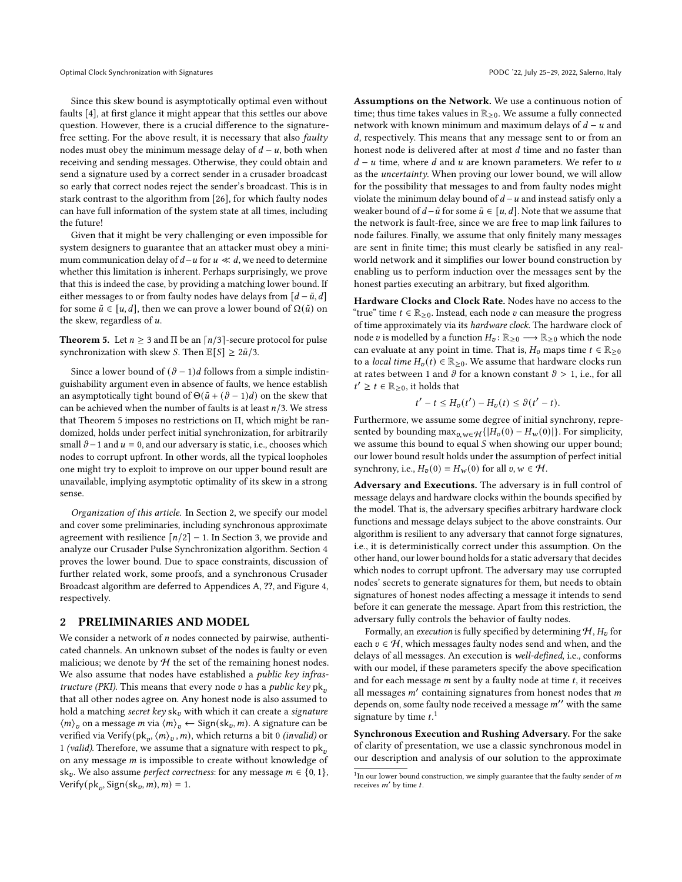Since this skew bound is asymptotically optimal even without faults [\[4\]](#page-9-4), at first glance it might appear that this settles our above question. However, there is a crucial difference to the signaturefree setting. For the above result, it is necessary that also faulty nodes must obey the minimum message delay of  $d - u$ , both when receiving and sending messages. Otherwise, they could obtain and send a signature used by a correct sender in a crusader broadcast so early that correct nodes reject the sender's broadcast. This is in stark contrast to the algorithm from [\[26\]](#page-9-9), for which faulty nodes can have full information of the system state at all times, including the future!

Given that it might be very challenging or even impossible for system designers to guarantee that an attacker must obey a minimum communication delay of  $d - u$  for  $u \ll d$ , we need to determine whether this limitation is inherent. Perhaps surprisingly, we prove that this is indeed the case, by providing a matching lower bound. If either messages to or from faulty nodes have delays from  $[d - \tilde{u}, d]$ for some  $\tilde{u} \in [u, d]$ , then we can prove a lower bound of  $\Omega(\tilde{u})$  on the skew, regardless of  $u$ .

<span id="page-2-0"></span>**Theorem 5.** Let  $n \geq 3$  and  $\Pi$  be an  $\lceil n/3 \rceil$ -secure protocol for pulse synchronization with skew *S*. Then  $\mathbb{E}[S] \geq 2\tilde{u}/3$ .

Since a lower bound of  $(\vartheta - 1)d$  follows from a simple indistinguishability argument even in absence of faults, we hence establish an asymptotically tight bound of  $\Theta(\tilde{u} + (\vartheta - 1)d)$  on the skew that can be achieved when the number of faults is at least  $n/3$ . We stress that Theorem [5](#page-2-0) imposes no restrictions on Π, which might be randomized, holds under perfect initial synchronization, for arbitrarily small  $\theta$  – 1 and  $u = 0$ , and our adversary is static, i.e., chooses which nodes to corrupt upfront. In other words, all the typical loopholes one might try to exploit to improve on our upper bound result are unavailable, implying asymptotic optimality of its skew in a strong sense.

Organization of this article. In Section [2,](#page-2-1) we specify our model and cover some preliminaries, including synchronous approximate agreement with resilience  $\lceil n/2 \rceil - 1$ . In Section [3,](#page-3-0) we provide and analyze our Crusader Pulse Synchronization algorithm. Section [4](#page-7-0) proves the lower bound. Due to space constraints, discussion of further related work, some proofs, and a synchronous Crusader Broadcast algorithm are deferred to Appendices [A,](#page-10-0) ??, and Figure [4,](#page-12-1) respectively.

### <span id="page-2-1"></span>2 PRELIMINARIES AND MODEL

We consider a network of  $n$  nodes connected by pairwise, authenticated channels. An unknown subset of the nodes is faulty or even malicious; we denote by  $H$  the set of the remaining honest nodes. We also assume that nodes have established a *public key infras*tructure (PKI). This means that every node  $v$  has a public key pk<sub>n</sub> that all other nodes agree on. Any honest node is also assumed to hold a matching secret key  $sk_v$  with which it can create a signature  $\langle m \rangle$ <sub>v</sub> on a message *m* via  $\langle m \rangle$ <sub>v</sub>  $\leftarrow$  Sign(sk<sub>v</sub>, *m*). A signature can be verified via Verify( $pk_v, \langle m \rangle_v, m$ ), which returns a bit 0 (invalid) or 1 (valid). Therefore, we assume that a signature with respect to  $pk<sub>v</sub>$ on any message  $m$  is impossible to create without knowledge of sk<sub>v</sub>. We also assume *perfect correctness*: for any message  $m \in \{0, 1\}$ , Verify(pk<sub>v</sub>, Sign(sk<sub>v</sub>, m), m) = 1.

Assumptions on the Network. We use a continuous notion of time; thus time takes values in  $\mathbb{R}_{\geq 0}$ . We assume a fully connected network with known minimum and maximum delays of  $d - u$  and d, respectively. This means that any message sent to or from an honest node is delivered after at most  $d$  time and no faster than  $d - u$  time, where  $d$  and  $u$  are known parameters. We refer to  $u$ as the uncertainty. When proving our lower bound, we will allow for the possibility that messages to and from faulty nodes might violate the minimum delay bound of  $d - u$  and instead satisfy only a weaker bound of  $d - \tilde{u}$  for some  $\tilde{u} \in [u, d]$ . Note that we assume that the network is fault-free, since we are free to map link failures to node failures. Finally, we assume that only finitely many messages are sent in finite time; this must clearly be satisfied in any realworld network and it simplifies our lower bound construction by enabling us to perform induction over the messages sent by the honest parties executing an arbitrary, but fixed algorithm.

Hardware Clocks and Clock Rate. Nodes have no access to the "true" time  $t \in \mathbb{R}_{\geq 0}$ . Instead, each node  $v$  can measure the progress of time approximately via its hardware clock. The hardware clock of node *v* is modelled by a function  $H_v: \mathbb{R}_{\geq 0} \longrightarrow \mathbb{R}_{\geq 0}$  which the node can evaluate at any point in time. That is,  $H_v$  maps time  $t \in \mathbb{R}_{\geq 0}$ to a *local time*  $H_v(t) \in \mathbb{R}_{\geq 0}$ . We assume that hardware clocks run at rates between 1 and  $\vartheta$  for a known constant  $\vartheta > 1$ , i.e., for all  $t' \geq t \in \mathbb{R}_{\geq 0}$ , it holds that

$$
t'-t \leq H_v(t') - H_v(t) \leq \vartheta(t'-t).
$$

Furthermore, we assume some degree of initial synchrony, represented by bounding max<sub> $v,w \in H$ </sub>{ $|H_v(0) - H_w(0)|$ }. For simplicity, we assume this bound to equal  $S$  when showing our upper bound; our lower bound result holds under the assumption of perfect initial synchrony, i.e.,  $H_v(0) = H_w(0)$  for all  $v, w \in H$ .

Adversary and Executions. The adversary is in full control of message delays and hardware clocks within the bounds specified by the model. That is, the adversary specifies arbitrary hardware clock functions and message delays subject to the above constraints. Our algorithm is resilient to any adversary that cannot forge signatures, i.e., it is deterministically correct under this assumption. On the other hand, our lower bound holds for a static adversary that decides which nodes to corrupt upfront. The adversary may use corrupted nodes' secrets to generate signatures for them, but needs to obtain signatures of honest nodes affecting a message it intends to send before it can generate the message. Apart from this restriction, the adversary fully controls the behavior of faulty nodes.

Formally, an *execution* is fully specified by determining  $H$ ,  $H<sub>v</sub>$  for each  $v \in H$ , which messages faulty nodes send and when, and the delays of all messages. An execution is well-defined, i.e., conforms with our model, if these parameters specify the above specification and for each message  $m$  sent by a faulty node at time  $t$ , it receives all messages  $m'$  containing signatures from honest nodes that m depends on, some faulty node received a message  $m''$  with the same signature by time  $t<sup>1</sup>$  $t<sup>1</sup>$  $t<sup>1</sup>$ .

Synchronous Execution and Rushing Adversary. For the sake of clarity of presentation, we use a classic synchronous model in our description and analysis of our solution to the approximate

<span id="page-2-2"></span><sup>&</sup>lt;sup>1</sup>In our lower bound construction, we simply guarantee that the faulty sender of m receives  $m'$  by time  $t$ .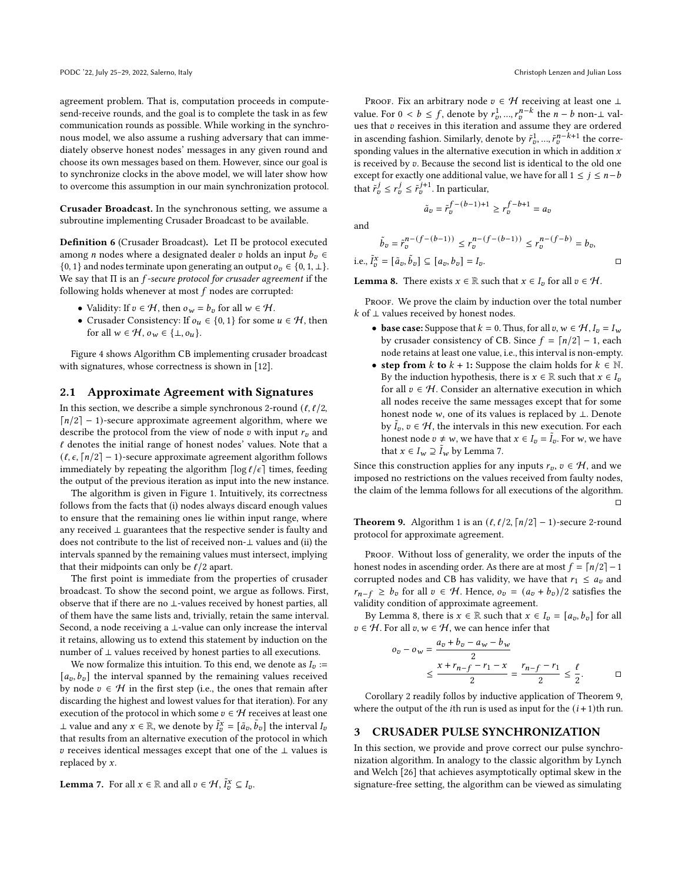agreement problem. That is, computation proceeds in computesend-receive rounds, and the goal is to complete the task in as few communication rounds as possible. While working in the synchronous model, we also assume a rushing adversary that can immediately observe honest nodes' messages in any given round and choose its own messages based on them. However, since our goal is to synchronize clocks in the above model, we will later show how to overcome this assumption in our main synchronization protocol.

Crusader Broadcast. In the synchronous setting, we assume a subroutine implementing Crusader Broadcast to be available.

Definition 6 (Crusader Broadcast). Let Π be protocol executed among *n* nodes where a designated dealer *v* holds an input  $b_v \in$ {0, 1} and nodes terminate upon generating an output  $o_v \in \{0, 1, \perp\}.$ We say that  $\Pi$  is an  $f$ -secure protocol for crusader agreement if the following holds whenever at most  $f$  nodes are corrupted:

- Validity: If  $v \in \mathcal{H}$ , then  $o_w = b_v$  for all  $w \in \mathcal{H}$ .
- Crusader Consistency: If  $o_u \in \{0, 1\}$  for some  $u \in \mathcal{H}$ , then for all  $w \in H$ ,  $o_w \in {\{\perp, o_u\}}$ .

Figure [4](#page-12-1) shows Algorithm CB implementing crusader broadcast with signatures, whose correctness is shown in [\[12\]](#page-9-16).

## 2.1 Approximate Agreement with Signatures

In this section, we describe a simple synchronous 2-round  $(\ell, \ell/2)$ ,  $\lceil n/2 \rceil - 1$ )-secure approximate agreement algorithm, where we describe the protocol from the view of node  $v$  with input  $r<sub>v</sub>$  and  $\ell$  denotes the initial range of honest nodes' values. Note that a  $(\ell, \epsilon, \lceil n/2 \rceil - 1)$ -secure approximate agreement algorithm follows immediately by repeating the algorithm  $\lceil \log \ell / \epsilon \rceil$  times, feeding the output of the previous iteration as input into the new instance.

The algorithm is given in Figure [1.](#page-4-0) Intuitively, its correctness follows from the facts that (i) nodes always discard enough values to ensure that the remaining ones lie within input range, where any received ⊥ guarantees that the respective sender is faulty and does not contribute to the list of received non-⊥ values and (ii) the intervals spanned by the remaining values must intersect, implying that their midpoints can only be  $\ell/2$  apart.

The first point is immediate from the properties of crusader broadcast. To show the second point, we argue as follows. First, observe that if there are no ⊥-values received by honest parties, all of them have the same lists and, trivially, retain the same interval. Second, a node receiving a ⊥-value can only increase the interval it retains, allowing us to extend this statement by induction on the number of  $⊥$  values received by honest parties to all executions.

We now formalize this intuition. To this end, we denote as  $I_n :=$  $[a_v, b_v]$  the interval spanned by the remaining values received by node  $v \in \mathcal{H}$  in the first step (i.e., the ones that remain after discarding the highest and lowest values for that iteration). For any execution of the protocol in which some  $v \in \mathcal{H}$  receives at least one ⊥ value and any  $x \in \mathbb{R}$ , we denote by  $\tilde{I}_{v}^{x} = [\tilde{a}_{v}, \tilde{b}_{v}]$  the interval  $I_{v}$ that results from an alternative execution of the protocol in which  $v$  receives identical messages except that one of the  $\perp$  values is replaced by  $x$ .

<span id="page-3-1"></span>**Lemma 7.** For all 
$$
x \in \mathbb{R}
$$
 and all  $v \in \mathcal{H}$ ,  $\tilde{I}_v^x \subseteq I_v$ .

PROOF. Fix an arbitrary node  $v \in H$  receiving at least one ⊥ value. For  $0 < b \leq f$ , denote by  $r_v^1, ..., r_v^{n-k}$  the  $n-b$  non- $\perp$  values that  $v$  receives in this iteration and assume they are ordered in ascending fashion. Similarly, denote by  $\tilde{r}_v^1, ..., \tilde{r}_v^{n-k+1}$  the corresponding values in the alternative execution in which in addition  $x$ is received by  $v$ . Because the second list is identical to the old one except for exactly one additional value, we have for all  $1 \le j \le n-b$ that  $\tilde{r}_v^j \leq r_v^j \leq \tilde{r}_v^{j+1}$ . In particular,

and

$$
\tilde{b}_v = \tilde{r}_v^{n-(f-(b-1))} \le r_v^{n-(f-(b-1))} \le r_v^{n-(f-b)} = b_v,
$$
  
i.e.,  $\tilde{t}_v^x = [\tilde{a}_v, \tilde{b}_v] \subseteq [a_v, b_v] = I_v.$ 

 $\tilde{a}_v = \tilde{r}_v^{f-(b-1)+1} \geq r_v^{f-b+1} = a_v$ 

<span id="page-3-2"></span>**Lemma 8.** There exists  $x \in \mathbb{R}$  such that  $x \in I_v$  for all  $v \in \mathcal{H}$ .

PROOF. We prove the claim by induction over the total number  $k$  of ⊥ values received by honest nodes.

- base case: Suppose that  $k = 0$ . Thus, for all  $v, w \in H$ ,  $I_v = I_w$ by crusader consistency of CB. Since  $f = \lceil n/2 \rceil - 1$ , each node retains at least one value, i.e., this interval is non-empty.
- step from k to  $k + 1$ : Suppose the claim holds for  $k \in \mathbb{N}$ . By the induction hypothesis, there is  $x \in \mathbb{R}$  such that  $x \in I_v$ for all  $v \in H$ . Consider an alternative execution in which all nodes receive the same messages except that for some honest node  $w$ , one of its values is replaced by  $\bot$ . Denote by  $I_0, v \in H$ , the intervals in this new execution. For each honest node  $v \neq w$ , we have that  $x \in I_v = \tilde{I}_v$ . For w, we have that  $x \in I_w \supseteq \tilde{I}_w$  by Lemma [7.](#page-3-1)

Since this construction applies for any inputs  $r_v$ ,  $v \in H$ , and we imposed no restrictions on the values received from faulty nodes, the claim of the lemma follows for all executions of the algorithm. □

<span id="page-3-3"></span>**Theorem 9.** Algorithm [1](#page-4-0) is an  $(\ell, \ell/2, \lceil n/2 \rceil - 1)$ -secure 2-round protocol for approximate agreement.

PROOF. Without loss of generality, we order the inputs of the honest nodes in ascending order. As there are at most  $f = \lfloor n/2 \rfloor - 1$ corrupted nodes and CB has validity, we have that  $r_1 \leq a_v$  and  $r_{n-f}$  ≥  $b_v$  for all  $v \in H$ . Hence,  $o_v = (a_v + b_v)/2$  satisfies the validity condition of approximate agreement.

By Lemma [8,](#page-3-2) there is  $x \in \mathbb{R}$  such that  $x \in I_v = [a_v, b_v]$  for all  $v \in H$ . For all  $v, w \in H$ , we can hence infer that

$$
o_v - o_w = \frac{a_v + b_v - a_w - b_w}{2}
$$
  
 
$$
\leq \frac{x + r_{n-f} - r_1 - x}{2} = \frac{r_{n-f} - r_1}{2} \leq \frac{\ell}{2}.
$$

Corollary [2](#page-1-0) readily follos by inductive application of Theorem [9,](#page-3-3) where the output of the *i*th run is used as input for the  $(i + 1)$ <sup>th</sup> run.

### <span id="page-3-0"></span>3 CRUSADER PULSE SYNCHRONIZATION

In this section, we provide and prove correct our pulse synchronization algorithm. In analogy to the classic algorithm by Lynch and Welch [\[26\]](#page-9-9) that achieves asymptotically optimal skew in the signature-free setting, the algorithm can be viewed as simulating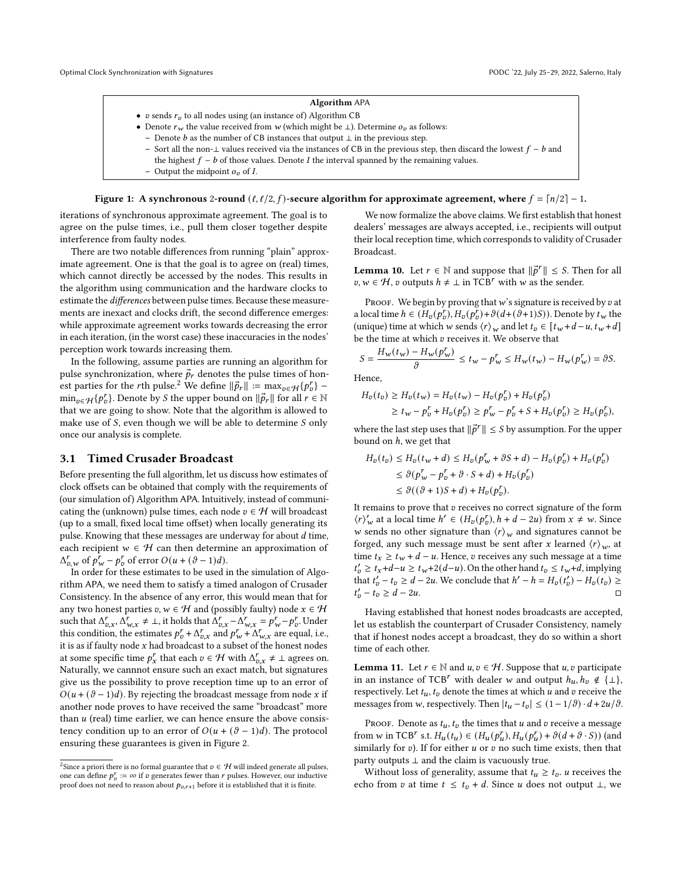#### Algorithm APA

- <span id="page-4-0"></span> $\bullet~$   $v$  sends  $r_v$  to all nodes using (an instance of) Algorithm <code>CB</code>
- Denote  $r_w$  the value received from w (which might be ⊥). Determine  $o_n$  as follows:
	- Denote  $b$  as the number of CB instances that output  $\perp$  in the previous step.
	- Sort all the non-⊥ values received via the instances of CB in the previous step, then discard the lowest  $f b$  and the highest  $f - b$  of those values. Denote I the interval spanned by the remaining values.
	- Output the midpoint  $o_v$  of I.

#### Figure 1: A synchronous 2-round  $(\ell, \ell/2, f)$ -secure algorithm for approximate agreement, where  $f = \lceil n/2 \rceil - 1$ .

iterations of synchronous approximate agreement. The goal is to agree on the pulse times, i.e., pull them closer together despite interference from faulty nodes.

There are two notable differences from running "plain" approximate agreement. One is that the goal is to agree on (real) times, which cannot directly be accessed by the nodes. This results in the algorithm using communication and the hardware clocks to estimate the differences between pulse times. Because these measurements are inexact and clocks drift, the second difference emerges: while approximate agreement works towards decreasing the error in each iteration, (in the worst case) these inaccuracies in the nodes' perception work towards increasing them.

In the following, assume parties are running an algorithm for pulse synchronization, where  $\vec{p}_r$  denotes the pulse times of honest parties for the *r*th pulse.<sup>[2](#page-4-1)</sup> We define  $\|\vec{p}_r\| := \max_{v \in \mathcal{H}} \{p_v^r\}$  –  $\min_{v \in \mathcal{H}} \{p_v^r\}$ . Denote by *S* the upper bound on  $\|\vec{p}_r\|$  for all  $r \in \mathbb{N}$ that we are going to show. Note that the algorithm is allowed to make use of  $S$ , even though we will be able to determine  $S$  only once our analysis is complete.

# 3.1 Timed Crusader Broadcast

Before presenting the full algorithm, let us discuss how estimates of clock offsets can be obtained that comply with the requirements of (our simulation of) Algorithm APA. Intuitively, instead of communicating the (unknown) pulse times, each node  $v \in \mathcal{H}$  will broadcast (up to a small, fixed local time offset) when locally generating its pulse. Knowing that these messages are underway for about  $d$  time, each recipient  $w \in H$  can then determine an approximation of  $\Delta_{v,w}^r$  of  $p_w^r - p_v^r$  of error  $O(u + (\vartheta - 1)d)$ .

In order for these estimates to be used in the simulation of Algorithm APA, we need them to satisfy a timed analogon of Crusader Consistency. In the absence of any error, this would mean that for any two honest parties  $v, w \in \mathcal{H}$  and (possibly faulty) node  $x \in \mathcal{H}$ such that  $\Delta_{v.x}^r$ ,  $\Delta_{w.x}^r \neq \bot$ , it holds that  $\Delta_{v.x}^r - \Delta_{w.x}^r = p_w^r - p_v^r$ . Under this condition, the estimates  $p_v^r + \Delta_{v.x}^r$  and  $p_w^r + \Delta_{w.x}^r$  are equal, i.e., it is as if faulty node  $x$  had broadcast to a subset of the honest nodes at some specific time  $p_x^r$  that each  $v \in \mathcal{H}$  with  $\Delta_{v,x}^r \neq \bot$  agrees on. Naturally, we cannnot ensure such an exact match, but signatures give us the possibility to prove reception time up to an error of  $O(u + (\vartheta - 1)d)$ . By rejecting the broadcast message from node x if another node proves to have received the same "broadcast" more than  $u$  (real) time earlier, we can hence ensure the above consistency condition up to an error of  $O(u + (\vartheta - 1)d)$ . The protocol ensuring these guarantees is given in Figure [2.](#page-5-0)

We now formalize the above claims. We first establish that honest dealers' messages are always accepted, i.e., recipients will output their local reception time, which corresponds to validity of Crusader Broadcast.

<span id="page-4-2"></span>**Lemma 10.** Let  $r \in \mathbb{N}$  and suppose that  $\|\vec{p}^r\| \leq S$ . Then for all  $v, w \in \mathcal{H}$ ,  $v$  outputs  $h \neq \perp$  in TCB<sup>r</sup> with  $w$  as the sender.

PROOF. We begin by proving that  $w$ 's signature is received by  $v$  at a local time  $h \in (H_v(p_v^r), H_v(p_v^r) + \vartheta(d + (\vartheta + 1)S))$ . Denote by  $t_w$  the (unique) time at which w sends  $\langle r \rangle_w$  and let  $t_v \in [t_w + d - u, t_w + d]$ be the time at which  $v$  receives it. We observe that

$$
S = \frac{H_w(t_w) - H_w(p_w^r)}{\vartheta} \le t_w - p_w^r \le H_w(t_w) - H_w(p_w^r) = \vartheta S.
$$

Hence,

$$
H_v(t_v) \ge H_v(t_w) = H_v(t_w) - H_v(p_v^r) + H_v(p_v^r)
$$
  
\n
$$
\ge t_w - p_v^r + H_v(p_v^r) \ge p_w^r - p_v^r + S + H_v(p_v^r) \ge H_v(p_v^r),
$$

where the last step uses that  $\|\vec{p}^r\| \leq S$  by assumption. For the upper bound on  $h$ , we get that

$$
H_v(t_v) \le H_v(t_w + d) \le H_v(p_w^r + \vartheta S + d) - H_v(p_v^r) + H_v(p_v^r)
$$
  
\n
$$
\le \vartheta(p_w^r - p_v^r + \vartheta \cdot S + d) + H_v(p_v^r)
$$
  
\n
$$
\le \vartheta((\vartheta + 1)S + d) + H_v(p_v^r).
$$

It remains to prove that  $v$  receives no correct signature of the form  $\langle r \rangle'_{w}$  at a local time  $h' \in (H_{v}(p_{v}^{r}), h + d - 2u)$  from  $x \neq w$ . Since w sends no other signature than  $\langle r \rangle_w$  and signatures cannot be forged, any such message must be sent after x learned  $\langle r \rangle_w$ , at time  $t_x \ge t_w + d - u$ . Hence,  $v$  receives any such message at a time  $t'_{v} \geq t_{x}+d-u \geq t_{w}+2(d-u)$ . On the other hand  $t_{v} \leq t_{w}+d$ , implying that  $t'_v - t_v \ge d - 2u$ . We conclude that  $h' - h = H_v(t'_v) - H_v(t_v) \ge$  $t'_v - t_v \geq d - 2u.$ 

Having established that honest nodes broadcasts are accepted, let us establish the counterpart of Crusader Consistency, namely that if honest nodes accept a broadcast, they do so within a short time of each other.

<span id="page-4-3"></span>**Lemma 11.** Let  $r \in \mathbb{N}$  and  $u, v \in \mathcal{H}$ . Suppose that  $u, v$  participate in an instance of TCB<sup>*r*</sup> with dealer *w* and output  $h_u, h_v \notin {\perp}$ , respectively. Let  $t_u$ ,  $t_v$  denote the times at which  $u$  and  $v$  receive the messages from w, respectively. Then  $|t_u - t_v| \le (1 - 1/\vartheta) \cdot d + 2u/\vartheta$ .

PROOF. Denote as  $t_u$ ,  $t_v$  the times that  $u$  and  $v$  receive a message from w in TCB<sup>r</sup> s.t.  $H_u(t_u) \in (H_u(p_u^r), H_u(p_u^r) + \vartheta(d + \vartheta \cdot S))$  (and similarly for  $v$ ). If for either  $u$  or  $v$  no such time exists, then that party outputs ⊥ and the claim is vacuously true.

Without loss of generality, assume that  $t_u \geq t_v$ . *u* receives the echo from *v* at time  $t \le t_v + d$ . Since *u* does not output ⊥, we

<span id="page-4-1"></span><sup>&</sup>lt;sup>2</sup>Since a priori there is no formal guarantee that  $v \in H$  will indeed generate all pulses, one can define  $p_v^r := \infty$  if  $v$  generates fewer than  $r$  pulses. However, our inductive proof does not need to reason about  $p_{v,r+1}$  before it is established that it is finite.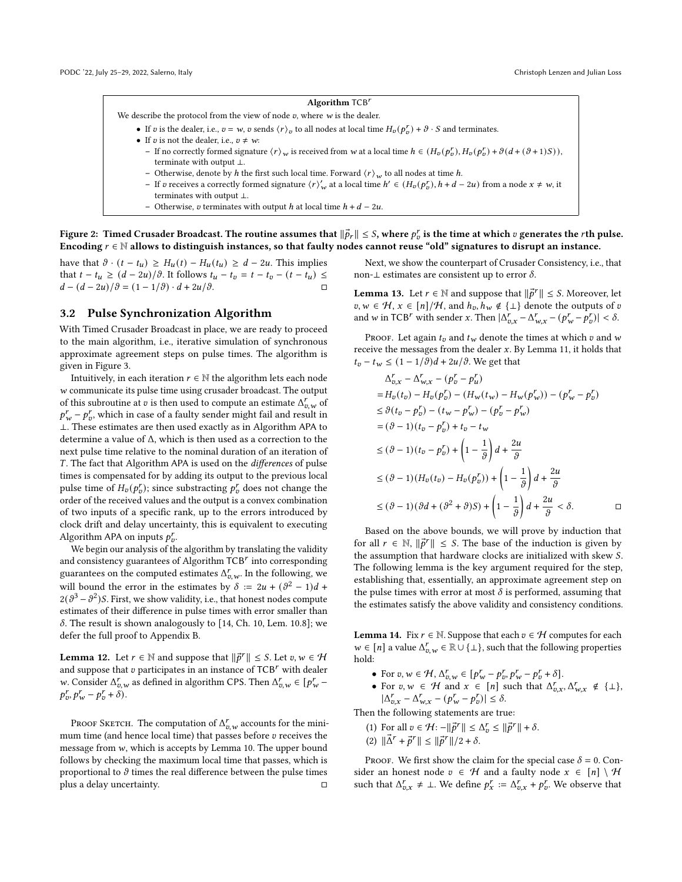#### Algorithm TCB

<span id="page-5-0"></span>We describe the protocol from the view of node  $v$ , where  $w$  is the dealer.

- If v is the dealer, i.e.,  $v = w$ , v sends  $\langle r \rangle_v$  to all nodes at local time  $H_v(p_v^r) + \vartheta \cdot S$  and terminates.
- If  $v$  is not the dealer, i.e.,  $v \neq w$ :
	- If no correctly formed signature  $\langle r \rangle_w$  is received from w at a local time  $h \in (H_v(p_v^r), H_v(p_v^r) + \vartheta(d + (\vartheta + 1)S)),$ terminate with output ⊥.
	- Otherwise, denote by *h* the first such local time. Forward  $\langle r \rangle_w$  to all nodes at time *h*.
- If v receives a correctly formed signature  $\langle r \rangle'_{w}$  at a local time  $h' \in (H_{v}(p'_{v}), h + d 2u)$  from a node  $x \neq w$ , it terminates with output ⊥.
- Otherwise,  $v$  terminates with output  $h$  at local time  $h + d 2u$ .

Figure 2: Timed Crusader Broadcast. The routine assumes that  $\|\vec{p}_r\|\leq S,$  where  $p_v^r$  is the time at which  $v$  generates the  $r$ th pulse. Encoding  $r \in \mathbb{N}$  allows to distinguish instances, so that faulty nodes cannot reuse "old" signatures to disrupt an instance.

have that  $\vartheta \cdot (t - t_u) \geq H_u(t) - H_u(t_u) \geq d - 2u$ . This implies that  $t - t_u \ge (d - 2u)/\vartheta$ . It follows  $t_u - t_v = t - t_v - (t - t_u) \le$  $d - (d - 2u)/\vartheta = (1 - 1/\vartheta) \cdot d + 2u/\vartheta.$ 

### 3.2 Pulse Synchronization Algorithm

With Timed Crusader Broadcast in place, we are ready to proceed to the main algorithm, i.e., iterative simulation of synchronous approximate agreement steps on pulse times. The algorithm is given in Figure [3.](#page-6-0)

Intuitively, in each iteration  $r \in \mathbb{N}$  the algorithm lets each node  $w$  communicate its pulse time using crusader broadcast. The output of this subroutine at v is then used to compute an estimate  $\Delta_{v,w}^r$  of  $p^r_w - p^r_v$ , which in case of a faulty sender might fail and result in ⊥. These estimates are then used exactly as in Algorithm APA to determine a value of Δ, which is then used as a correction to the next pulse time relative to the nominal duration of an iteration of . The fact that Algorithm APA is used on the differences of pulse times is compensated for by adding its output to the previous local pulse time of  $H_v(p_v^r)$ ; since substracting  $p_v^r$  does not change the order of the received values and the output is a convex combination of two inputs of a specific rank, up to the errors introduced by clock drift and delay uncertainty, this is equivalent to executing Algorithm APA on inputs  $p_v^r$ .

We begin our analysis of the algorithm by translating the validity and consistency guarantees of Algorithm  $\text{TCB}^r$  into corresponding guarantees on the computed estimates  $\Delta_{v,w}^r$ . In the following, we will bound the error in the estimates by  $\delta := 2u + (\vartheta^2 - 1)d +$  $2(\theta^3 - \theta^2)$ S. First, we show validity, i.e., that honest nodes compute estimates of their difference in pulse times with error smaller than  $\delta$ . The result is shown analogously to [\[14,](#page-9-7) Ch. 10, Lem. 10.8]; we defer the full proof to Appendix [B.](#page-10-1)

<span id="page-5-2"></span>**Lemma 12.** Let  $r \in \mathbb{N}$  and suppose that  $\|\vec{p}^r\| \leq S$ . Let  $v, w \in \mathcal{H}$ and suppose that  $v$  participates in an instance of  $TCB'$  with dealer w. Consider  $\Delta_{v,w}^r$  as defined in algorithm CPS. Then  $\Delta_{v,w}^r \in [p_w^r - p_w^r]$  $p_{v}^{r}, p_{w}^{r} - p_{v}^{r} + \delta$ ).

Proof Sketch. The computation of  $\Delta_{v,w}^r$  accounts for the minimum time (and hence local time) that passes before  $v$  receives the message from  $w$ , which is accepts by Lemma [10.](#page-4-2) The upper bound follows by checking the maximum local time that passes, which is proportional to  $\vartheta$  times the real difference between the pulse times plus a delay uncertainty. □

Next, we show the counterpart of Crusader Consistency, i.e., that non-⊥ estimates are consistent up to error  $δ$ .

<span id="page-5-3"></span>**Lemma 13.** Let  $r \in \mathbb{N}$  and suppose that  $\|\vec{p}^r\| \leq S$ . Moreover, let  $v, w \in \mathcal{H}, x \in [n]/\mathcal{H}$ , and  $h_v, h_w \notin {\perp}$  denote the outputs of  $v$ and w in TCB<sup>r</sup> with sender x. Then  $|\Delta_{v.x}^r - \Delta_{w.x}^r - (p_w^r - p_v^r)| < \delta$ .

PROOF. Let again  $t_v$  and  $t_w$  denote the times at which  $v$  and  $w$ receive the messages from the dealer  $x$ . By Lemma [11,](#page-4-3) it holds that  $t_v - t_w$  ≤  $(1 - 1/\vartheta)d + 2u/\vartheta$ . We get that

$$
\Delta_{v,x}^r - \Delta_{w,x}^r - (p_v^r - p_u^r)
$$
  
=  $H_v(t_v) - H_v(p_v^r) - (H_w(t_w) - H_w(p_w^r)) - (p_w^r - p_v^r)$   

$$
\leq \vartheta(t_v - p_v^r) - (t_w - p_w^r) - (p_v^r - p_w^r)
$$
  
=  $(\vartheta - 1)(t_v - p_v^r) + t_v - t_w$   

$$
\leq (\vartheta - 1)(t_v - p_v^r) + \left(1 - \frac{1}{\vartheta}\right)d + \frac{2u}{\vartheta}
$$
  

$$
\leq (\vartheta - 1)(H_v(t_v) - H_v(p_v^r)) + \left(1 - \frac{1}{\vartheta}\right)d + \frac{2u}{\vartheta}
$$
  

$$
\leq (\vartheta - 1)(\vartheta d + (\vartheta^2 + \vartheta)S) + \left(1 - \frac{1}{\vartheta}\right)d + \frac{2u}{\vartheta} < \delta.
$$

Based on the above bounds, we will prove by induction that for all  $r \in \mathbb{N}$ ,  $\|\vec{p}^r\|$  ≤ *S*. The base of the induction is given by the assumption that hardware clocks are initialized with skew S. The following lemma is the key argument required for the step, establishing that, essentially, an approximate agreement step on the pulse times with error at most  $\delta$  is performed, assuming that the estimates satisfy the above validity and consistency conditions.

<span id="page-5-1"></span>**Lemma 14.** Fix  $r \in \mathbb{N}$ . Suppose that each  $v \in \mathcal{H}$  computes for each  $w \in [n]$  a value  $\Delta_{v,w}^r \in \mathbb{R} \cup \{\perp\}$ , such that the following properties hold:

- For  $v, w \in \mathcal{H}, \Delta_{v,w}^r \in [p_w^r p_v^r, p_w^r p_v^r + \delta].$
- For  $v, w \in \mathcal{H}$  and  $x \in [n]$  such that  $\Delta_{v,x}^r, \Delta_{w,x}^r \notin {\{\perp\}},$  $|\Delta_{v.x}^r - \Delta_{w.x}^r - (p_w^r - p_v^r)| \leq \delta.$

Then the following statements are true:

- (1) For all  $v \in \mathcal{H}$ :  $-||\vec{p}^r|| \leq \Delta_v^r \leq ||\vec{p}^r|| + \delta$ .
- (2)  $\|\vec{\Delta}^r + \vec{p}^r\| \leq \|\vec{p}^r\|/2 + \delta.$

PROOF. We first show the claim for the special case  $\delta = 0$ . Consider an honest node  $v \in \mathcal{H}$  and a faulty node  $x \in [n] \setminus \mathcal{H}$ such that  $\Delta_{v.x}^r \neq \bot$ . We define  $p_x^r := \Delta_{v.x}^r + p_v^r$ . We observe that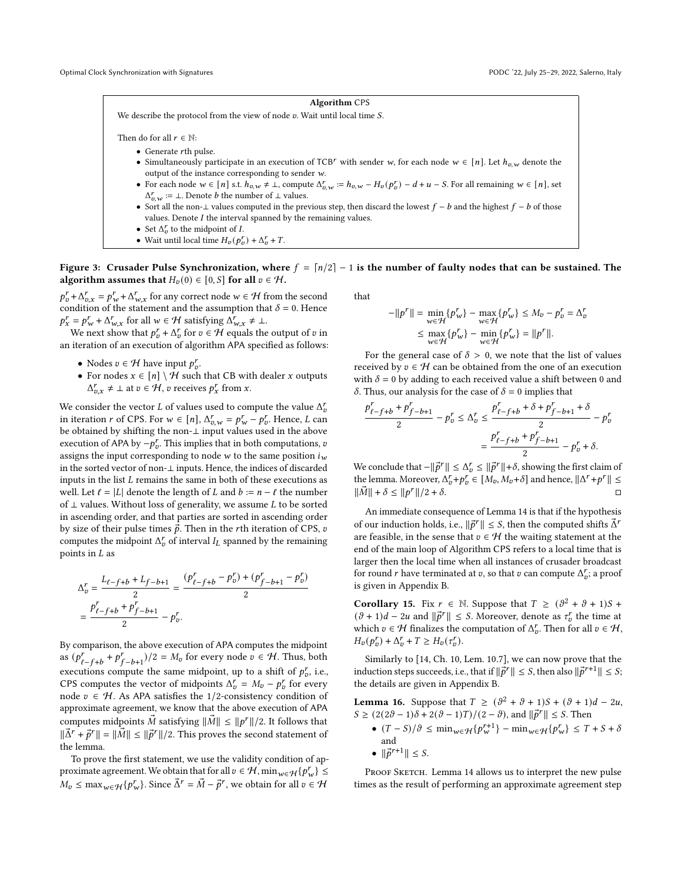#### Algorithm CPS

<span id="page-6-0"></span>We describe the protocol from the view of node  $v$ . Wait until local time  $S$ .

Then do for all  $r \in \mathbb{N}$ :

- Generate rth pulse.
- Simultaneously participate in an execution of TCB<sup>r</sup> with sender w, for each node  $w \in [n]$ . Let  $h_{n,w}$  denote the output of the instance corresponding to sender  $w$ .
- For each node  $w \in [n]$  s.t.  $h_{v,w} \neq \bot$ , compute  $\Delta_{v,w}^r := h_{v,w} H_v(p_v^r) d + u S$ . For all remaining  $w \in [n]$ , set  $\Delta_{v,w}^r := \bot$ . Denote *b* the number of  $\bot$  values.
- Sort all the non-⊥ values computed in the previous step, then discard the lowest  $f b$  and the highest  $f b$  of those values. Denote  $I$  the interval spanned by the remaining values.
- Set  $\Delta_v^r$  to the midpoint of *I*.
- Wait until local time  $H_v(p_v^r) + \Delta_v^r + T$ .

Figure 3: Crusader Pulse Synchronization, where  $f = \lfloor n/2 \rfloor - 1$  is the number of faulty nodes that can be sustained. The algorithm assumes that  $H_v(0) \in [0, S]$  for all  $v \in H$ .

 $p_v^r + \Delta_{v,x}^r = p_w^r + \Delta_{w,x}^r$  for any correct node  $w \in \mathcal{H}$  from the second condition of the statement and the assumption that  $\delta = 0$ . Hence  $p_x^r = p_w^r + \Delta_{w.x}^r$  for all  $w \in \mathcal{H}$  satisfying  $\Delta_{w.x}^r \neq \bot$ .

We next show that  $p_t^r + \Delta_v^r$  for  $v \in \mathcal{H}$  equals the output of v in an iteration of an execution of algorithm APA specified as follows:

- Nodes  $v \in \mathcal{H}$  have input  $p_v^r$ .
- For nodes  $x \in [n] \setminus \mathcal{H}$  such that CB with dealer x outputs  $\Delta_{v.x}^r \neq \bot$  at  $v \in \mathcal{H}$ , v receives  $p_x^r$  from x.

We consider the vector  $L$  of values used to compute the value  $\Delta^r_v$ in iteration r of CPS. For  $w \in [n]$ ,  $\Delta_{v,w}^r = p_w^r - p_v^r$ . Hence, L can be obtained by shifting the non-⊥ input values used in the above execution of APA by  $-p_p^r$ . This implies that in both computations,  $v$ assigns the input corresponding to node  $w$  to the same position  $i_w$ in the sorted vector of non-⊥ inputs. Hence, the indices of discarded inputs in the list  $L$  remains the same in both of these executions as well. Let  $\ell = |L|$  denote the length of  $L$  and  $b := n - \ell$  the number of  $\bot$  values. Without loss of generality, we assume  $L$  to be sorted in ascending order, and that parties are sorted in ascending order by size of their pulse times  $\vec{p}$ . Then in the rth iteration of CPS, v computes the midpoint  $\Delta_{v}^{r}$  of interval  $I_{L}$  spanned by the remaining points in  $L$  as

$$
\Delta_{v}^{r} = \frac{L_{\ell-f+b} + L_{f-b+1}}{2} = \frac{(p_{\ell-f+b}^{r} - p_{v}^{r}) + (p_{f-b+1}^{r} - p_{v}^{r})}{2}
$$

$$
= \frac{p_{\ell-f+b}^{r} + p_{f-b+1}^{r}}{2} - p_{v}^{r}.
$$

By comparison, the above execution of APA computes the midpoint as  $(p_{\ell-f+b}^r + p_{f-b+1}^r)/2 = M_v$  for every node  $v \in H$ . Thus, both executions compute the same midpoint, up to a shift of  $p_{v}^{r}$ , i.e., CPS computes the vector of midpoints  $\Delta_{v}^{r} = M_{v} - p_{v}^{r}$  for every node  $v \in H$ . As APA satisfies the 1/2-consistency condition of approximate agreement, we know that the above execution of APA computes midpoints  $\vec{M}$  satisfying  $\|\vec{M}\| \leq \|p^r\|/2$ . It follows that  $\|\vec{\Delta}^r + \vec{p}^r\| = \|\vec{M}\| \leq \|\vec{p}^r\|/2$ . This proves the second statement of the lemma.

To prove the first statement, we use the validity condition of approximate agreement. We obtain that for all  $v \in H$ ,  $\min_{w \in H} {\{p_w^r\}} \le$  $M_v \le \max_{w \in \mathcal{H}} \{p_w^r\}$ . Since  $\vec{\Delta}^r = \vec{M} - \vec{p}^r$ , we obtain for all  $v \in \mathcal{H}$ 

that

$$
-\|p^r\| = \min_{w \in \mathcal{H}} \{p_w^r\} - \max_{w \in \mathcal{H}} \{p_w^r\} \le M_v - p_v^r = \Delta_v^r
$$
  

$$
\le \max_{w \in \mathcal{H}} \{p_w^r\} - \min_{w \in \mathcal{H}} \{p_w^r\} = \|p^r\|.
$$

For the general case of  $\delta > 0$ , we note that the list of values received by  $v \in \mathcal{H}$  can be obtained from the one of an execution with  $\delta = 0$  by adding to each received value a shift between 0 and  $\delta$ . Thus, our analysis for the case of  $\delta = 0$  implies that

$$
\frac{p_{\ell-f+b}^r + p_{f-b+1}^r}{2} - p_v^r \le \Delta_v^r \le \frac{p_{\ell-f+b}^r + \delta + p_{f-b+1}^r + \delta}{2} - p_v^r
$$

$$
= \frac{p_{\ell-f+b}^r + p_{f-b+1}^r}{2} - p_v^r + \delta.
$$

We conclude that  $-||\vec{p}|| \leq \Delta_p^r \leq ||\vec{p}|| + \delta$ , showing the first claim of the lemma. Moreover,  $\Delta_{v}^{r} + p_{v}^{r} \in [M_{v}, M_{v} + \delta]$  and hence,  $\|\Delta^{r} + p^{r}\| \leq$  $\|\vec{M}\| + \delta \leq \|p^r\|/2 + \delta.$  □

An immediate consequence of Lemma [14](#page-5-1) is that if the hypothesis of our induction holds, i.e.,  $\|\vec{p}^r\| \leq S$ , then the computed shifts  $\vec{\Delta}^r$ are feasible, in the sense that  $v \in H$  the waiting statement at the end of the main loop of Algorithm CPS refers to a local time that is larger then the local time when all instances of crusader broadcast for round *r* have terminated at *v*, so that *v* can compute  $\Delta_{v}^{r}$ ; a proof is given in Appendix [B.](#page-10-1)

<span id="page-6-2"></span>**Corollary 15.** Fix  $r \in \mathbb{N}$ . Suppose that  $T \ge (\vartheta^2 + \vartheta + 1)S + \vartheta^2$  $(\vartheta + 1)d - 2u$  and  $\|\vec{p}^r\| \leq S$ . Moreover, denote as  $\tau_p^r$  the time at which  $v \in \mathcal{H}$  finalizes the computation of  $\Delta_v^r$ . Then for all  $v \in \mathcal{H}$ ,  $H_v(p_v^r) + \Delta_v^r + T \ge H_v(\tau_v^r).$ 

Similarly to [\[14,](#page-9-7) Ch. 10, Lem. 10.7], we can now prove that the induction steps succeeds, i.e., that if  $\|\vec{p}^r\| \leq S$ , then also  $\|\vec{p}^{r+1}\| \leq S$ ; the details are given in Appendix [B.](#page-10-1)

<span id="page-6-1"></span>**Lemma 16.** Suppose that  $T \ge (\theta^2 + \theta + 1)S + (\theta + 1)d - 2u$ ,  $S \geq (2(2\vartheta - 1)\delta + 2(\vartheta - 1)T)/(2 - \vartheta)$ , and  $\|\vec{p}^r\| \leq S$ . Then

•  $(T - S)/\vartheta \leq \min_{w \in \mathcal{H}} \{p_w^{r+1}\} - \min_{w \in \mathcal{H}} \{p_w^r\} \leq T + S + \delta$ and •  $\|\vec{p}^{r+1}\| \leq S$ .

PROOF SKETCH. Lemma [14](#page-5-1) allows us to interpret the new pulse times as the result of performing an approximate agreement step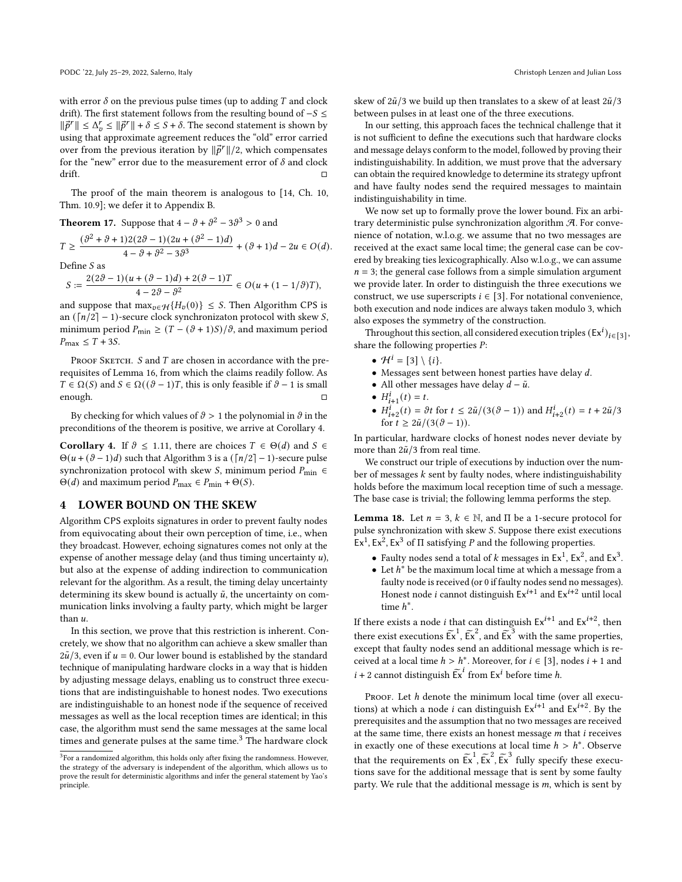with error  $\delta$  on the previous pulse times (up to adding  $T$  and clock drift). The first statement follows from the resulting bound of  $-S \leq$  $\|\vec{p}^r\| \leq \Delta_p^r \leq \|\vec{p}^r\| + \delta \leq S + \delta$ . The second statement is shown by using that approximate agreement reduces the "old" error carried over from the previous iteration by  $\|\vec{p}^r\|/2$ , which compensates for the "new" error due to the measurement error of  $\delta$  and clock drift.  $\Box$ 

The proof of the main theorem is analogous to [\[14,](#page-9-7) Ch. 10, Thm. 10.9]; we defer it to Appendix [B.](#page-10-1)

<span id="page-7-3"></span>**Theorem 17.** Suppose that 
$$
4 - \theta + \theta^2 - 3\theta^3 > 0
$$
 and

$$
T \geq \frac{(\vartheta^2 + \vartheta + 1)2(2\vartheta - 1)(2u + (\vartheta^2 - 1)d)}{4 - \vartheta + \vartheta^2 - 3\vartheta^3} + (\vartheta + 1)d - 2u \in O(d).
$$

Define  $S$  as

$$
S:=\frac{2(2\vartheta-1)\big(u+(\vartheta-1)d\big)+2(\vartheta-1)T}{4-2\vartheta-\vartheta^2}\in O\big(u+(1-1/\vartheta)T\big),
$$

and suppose that  $\max_{v \in \mathcal{H}} \{ H_v(0) \} \leq S$ . Then Algorithm CPS is an ( $\lceil n/2 \rceil$  – 1)-secure clock synchronizaton protocol with skew S, minimum period  $P_{\text{min}} \ge (T - (\vartheta + 1)S)/\vartheta$ , and maximum period  $P_{\text{max}} \leq T + 3S$ .

PROOF SKETCH.  $S$  and  $T$  are chosen in accordance with the prerequisites of Lemma [16,](#page-6-1) from which the claims readily follow. As  $T \in \Omega(S)$  and  $S \in \Omega((\vartheta - 1)T)$ , this is only feasible if  $\vartheta - 1$  is small enough. □

By checking for which values of  $\vartheta > 1$  the polynomial in  $\vartheta$  in the preconditions of the theorem is positive, we arrive at Corollary [4.](#page-1-1)

**Corollary 4.** If  $\vartheta \le 1.11$ , there are choices  $T \in \Theta(d)$  and  $S \in \Theta(d)$  $\Theta(u + (\vartheta - 1)d)$  such that Algorithm [3](#page-6-0) is a  $(\lceil n/2 \rceil - 1)$ -secure pulse synchronization protocol with skew *S*, minimum period  $P_{\text{min}} \in$  $\Theta(d)$  and maximum period  $P_{\text{max}} \in P_{\text{min}} + \Theta(S)$ .

# <span id="page-7-0"></span>LOWER BOUND ON THE SKEW

Algorithm CPS exploits signatures in order to prevent faulty nodes from equivocating about their own perception of time, i.e., when they broadcast. However, echoing signatures comes not only at the expense of another message delay (and thus timing uncertainty  $u$ ), but also at the expense of adding indirection to communication relevant for the algorithm. As a result, the timing delay uncertainty determining its skew bound is actually  $\tilde{u}$ , the uncertainty on communication links involving a faulty party, which might be larger than u.

In this section, we prove that this restriction is inherent. Concretely, we show that no algorithm can achieve a skew smaller than  $2\tilde{u}/3$ , even if  $u = 0$ . Our lower bound is established by the standard technique of manipulating hardware clocks in a way that is hidden by adjusting message delays, enabling us to construct three executions that are indistinguishable to honest nodes. Two executions are indistinguishable to an honest node if the sequence of received messages as well as the local reception times are identical; in this case, the algorithm must send the same messages at the same local times and generate pulses at the same time.<sup>[3](#page-7-1)</sup> The hardware clock

skew of  $2\tilde{u}/3$  we build up then translates to a skew of at least  $2\tilde{u}/3$ between pulses in at least one of the three executions.

In our setting, this approach faces the technical challenge that it is not sufficient to define the executions such that hardware clocks and message delays conform to the model, followed by proving their indistinguishability. In addition, we must prove that the adversary can obtain the required knowledge to determine its strategy upfront and have faulty nodes send the required messages to maintain indistinguishability in time.

We now set up to formally prove the lower bound. Fix an arbitrary deterministic pulse synchronization algorithm  $A$ . For convenience of notation, w.l.o.g. we assume that no two messages are received at the exact same local time; the general case can be covered by breaking ties lexicographically. Also w.l.o.g., we can assume  $n = 3$ ; the general case follows from a simple simulation argument we provide later. In order to distinguish the three executions we construct, we use superscripts  $i \in [3]$ . For notational convenience, both execution and node indices are always taken modulo 3, which also exposes the symmetry of the construction.

Throughout this section, all considered execution triples  $(Ex^i)_{i \in [3]}$ , share the following properties  $P$ :

- $\mathcal{H}^i = [3] \setminus \{i\}.$
- $\bullet$  Messages sent between honest parties have delay  $d$ .
- All other messages have delay  $d \tilde{u}$ .
- $H_{i+1}^i(t) = t$ .
- $H_{i+2}^{i}(t) = \partial t$  for  $t \leq 2\tilde{u}/(3(\partial 1))$  and  $H_{i+2}^{i}(t) = t + 2\tilde{u}/3$ for  $t \geq 2\tilde{u}/(3(\vartheta - 1)).$

In particular, hardware clocks of honest nodes never deviate by more than  $2\tilde{u}/3$  from real time.

We construct our triple of executions by induction over the number of messages  $k$  sent by faulty nodes, where indistinguishability holds before the maximum local reception time of such a message. The base case is trivial; the following lemma performs the step.

<span id="page-7-2"></span>**Lemma 18.** Let  $n = 3$ ,  $k \in \mathbb{N}$ , and  $\Pi$  be a 1-secure protocol for pulse synchronization with skew S. Suppose there exist executions  $\operatorname{Ex}^1$ ,  $\operatorname{Ex}^2$ ,  $\operatorname{Ex}^3$  of  $\Pi$  satisfying  $P$  and the following properties.

- Faulty nodes send a total of  $k$  messages in  $Ex^1$ ,  $Ex^2$ , and  $Ex^3$ .
- Let  $h^*$  be the maximum local time at which a message from a faulty node is received (or 0 if faulty nodes send no messages). Honest node *i* cannot distinguish  $Ex^{i+1}$  and  $Ex^{i+2}$  until local time  $h^*$ .

If there exists a node *i* that can distinguish  $Ex^{i+1}$  and  $Ex^{i+2}$ , then there exist executions  $\tilde{E}x^1$ ,  $\tilde{E}x^2$ , and  $\tilde{E}x^3$  with the same properties, except that faulty nodes send an additional message which is received at a local time  $h > h^*$ . Moreover, for  $i \in [3]$ , nodes  $i + 1$  and  $i + 2$  cannot distinguish  $\widetilde{\mathsf{Ex}}^i$  from  $\mathsf{Ex}^i$  before time *h*.

PROOF. Let h denote the minimum local time (over all executions) at which a node *i* can distinguish  $Ex^{i+1}$  and  $Ex^{i+2}$ . By the prerequisites and the assumption that no two messages are received at the same time, there exists an honest message  $m$  that  $i$  receives in exactly one of these executions at local time  $h > h^*$ . Observe that the requirements on  $\tilde{E}x^1$ ,  $\tilde{E}x^2$ ,  $\tilde{E}x^3$  fully specify these executions save for the additional message that is sent by some faulty party. We rule that the additional message is  $m$ , which is sent by

<span id="page-7-1"></span> $3$  For a randomized algorithm, this holds only after fixing the randomness. However, the strategy of the adversary is independent of the algorithm, which allows us to prove the result for deterministic algorithms and infer the general statement by Yao's principle.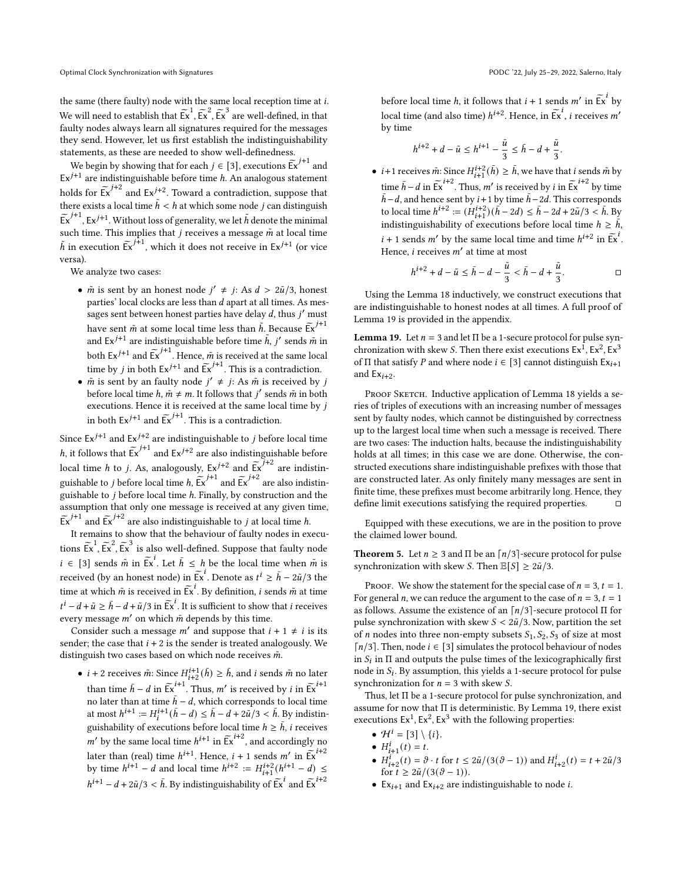the same (there faulty) node with the same local reception time at  $i$ . We will need to establish that  $\widetilde{\mathsf{Ex}}^1$ ,  $\widetilde{\mathsf{Ex}}^2$ ,  $\widetilde{\mathsf{Ex}}^3$  are well-defined, in that faulty nodes always learn all signatures required for the messages they send. However, let us first establish the indistinguishability statements, as these are needed to show well-definedness.

We begin by showing that for each  $j \in [3]$ , executions  $\widetilde{\mathsf{Ex}}^{j+1}$  and  $\mathsf{We}$  $Ex^{j+1}$  are indistinguishable before time  $h$ . An analogous statement holds for  $\widetilde{\mathsf{Ex}}^{j+2}$  and  $\mathsf{Ex}^{j+2}$ . Toward a contradiction, suppose that there exists a local time  $\tilde{h} < h$  at which some node *j* can distinguish  $\widetilde{\mathsf{Ex}}^{j+1}$ ,  $\mathsf{Ex}^{j+1}$ . Without loss of generality, we let  $\widetilde{h}$  denote the minimal such time. This implies that  $j$  receives a message  $\tilde{m}$  at local time  $\tilde{h}$  in execution  $\tilde{E}^{j+1}$ , which it does not receive in  $E^{j+1}$  (or vice versa).

We analyze two cases:

- $\tilde{m}$  is sent by an honest node  $j' \neq j$ : As  $d > 2\tilde{u}/3$ , honest parties' local clocks are less than  $d$  apart at all times. As messages sent between honest parties have delay  $d$ , thus  $i'$  must have sent  $\tilde{m}$  at some local time less than  $\tilde{h}$ . Because  $\tilde{Ex}^{j+1}$ and  $Ex^{j+1}$  are indistinguishable before time  $\tilde{h}$ ,  $j'$  sends  $\tilde{m}$  in both  $Ex^{j+1}$  and  $Ex^{j+1}$ . Hence,  $\tilde{m}$  is received at the same local time by *j* in both  $Ex^{j+1}$  and  $Ex^{j+1}$ . This is a contradiction.
- $\tilde{m}$  is sent by an faulty node  $j' \neq j$ : As  $\tilde{m}$  is received by j before local time  $h, m \neq m$ . It follows that  $j'$  sends  $\tilde{m}$  in both executions. Hence it is received at the same local time by  $j$ in both  $Ex^{j+1}$  and  $\widetilde{Ex}^{j+1}$ . This is a contradiction.

Since  $Ex^{j+1}$  and  $Ex^{j+2}$  are indistinguishable to *j* before local time *h*, it follows that  $\widetilde{Ex}^{j+1}$  and  $Ex^{j+2}$  are also indistinguishable before local time *h* to *j*. As, analogously,  $Ex^{j+2}$  and  $Ex^{j+2}$  are indistinguishable to *j* before local time *h*,  $\widetilde{Ex}^{j+1}$  and  $\widetilde{Ex}^{j+2}$  are also indistinguishable to  $j$  before local time  $h$ . Finally, by construction and the assumption that only one message is received at any given time,  $\widetilde{\mathsf{Ex}}^{j+1}$  and  $\widetilde{\mathsf{Ex}}^{j+2}$  are also indistinguishable to *j* at local time *h*.

It remains to show that the behaviour of faulty nodes in executions  $\tilde{Ex}^1$ ,  $\tilde{Ex}^2$ ,  $\tilde{Ex}^3$  is also well-defined. Suppose that faulty node  $i \in [3]$  sends  $\tilde{m}$  in  $\tilde{Ex}^i$ . Let  $\tilde{h} \leq h$  be the local time when  $\tilde{m}$  is received (by an honest node) in  $\overline{F}$ <sup>*i*</sup>. Denote as  $t^i \ge \overline{h} - 2\tilde{u}/3$  the time at which  $\tilde{m}$  is received in  $\tilde{F}x^i$ . By definition, *i* sends  $\tilde{m}$  at time  $t^{i} - d + \tilde{u} \ge \bar{h} - d + \tilde{u}/3$  in  $\tilde{Ex}^{i}$ . It is sufficient to show that *i* receives every message  $m'$  on which  $\tilde{m}$  depends by this time.

Consider such a message m' and suppose that  $i + 1 \neq i$  is its sender; the case that  $i + 2$  is the sender is treated analogously. We distinguish two cases based on which node receives  $\tilde{m}$ .

•  $i + 2$  receives  $\tilde{m}$ : Since  $H_{i+2}^{i+1}(\tilde{h}) \ge \tilde{h}$ , and  $i$  sends  $\tilde{m}$  no later than time  $\bar{h} - d$  in  $\tilde{E} \tilde{x}^{i+1}$ . Thus, m' is received by *i* in  $\tilde{E} \tilde{x}^{i+1}$ no later than at time  $\bar{h} - d$ , which corresponds to local time at most  $h^{i+1} := H_i^{i+1}(\bar{h} - d) \leq \bar{h} - d + 2\tilde{u}/3 < \bar{h}$ . By indistinguishability of executions before local time  $h \geq \bar{h}$ ,  $i$  receives m' by the same local time  $h^{i+1}$  in  $\tilde{Ex}^{i+2}$ , and accordingly no later than (real) time  $h^{i+1}$ . Hence,  $i + 1$  sends  $m'$  in  $\sum_{i=1}^{i+2}$ by time  $h^{i+1} - d$  and local time  $h^{i+2} := H_{i+1}^{i+2}(h^{i+1} - d) \le$  $h^{i+1} - d + 2\tilde{u}/3 < \bar{h}$ . By indistinguishability of  $\tilde{E}^i$  and  $\tilde{E}^i$ .

before local time *h*, it follows that  $i + 1$  sends  $m'$  in  $\tilde{Ex}^i$  by local time (and also time)  $h^{i+2}$ . Hence, in  $\widetilde{\mathsf{Ex}}^i$ , *i* receives *m'* by time

$$
h^{i+2}+d-\tilde{u}\leq h^{i+1}-\frac{\tilde{u}}{3}\leq \bar{h}-d+\frac{\tilde{u}}{3}.
$$

• *i*+1 receives  $\tilde{m}$ : Since  $H_{i+1}^{i+2}(\bar{h}) \geq \bar{h}$ , we have that *i* sends  $\tilde{m}$  by time  $\bar{h} - d$  in  $\tilde{Ex}^{i+2}$ . Thus, m' is received by  $i$  in  $\tilde{Ex}^{i+2}$  by time  $\bar{h}$ −d, and hence sent by  $i+1$  by time  $\bar{h}$ −2d. This corresponds to local time  $h^{i+2} := (H_{i+1}^{i+2})(\bar{h} - 2d) \le \bar{h} - 2d + 2\tilde{u}/3 < \bar{h}$ . By indistinguishability of executions before local time  $h \geq \bar{h}$ ,  $i + 1$  sends m' by the same local time and time  $h^{i+2}$  in  $\widetilde{Ex}^i$ . Hence, *i* receives  $m'$  at time at most

$$
h^{i+2} + d - \tilde{u} \le \bar{h} - d - \frac{\tilde{u}}{3} < \bar{h} - d + \frac{\tilde{u}}{3}.
$$

Using the Lemma [18](#page-7-2) inductively, we construct executions that are indistinguishable to honest nodes at all times. A full proof of Lemma [19](#page-8-0) is provided in the appendix.

<span id="page-8-0"></span>**Lemma 19.** Let  $n = 3$  and let  $\Pi$  be a 1-secure protocol for pulse synchronization with skew *S*. Then there exist executions  $Ex^1$ ,  $Ex^2$ ,  $Ex^3$ of Π that satisfy P and where node  $i \in [3]$  cannot distinguish  $Ex_{i+1}$ and  $Ex_{i+2}$ .

PROOF SKETCH. Inductive application of Lemma [18](#page-7-2) yields a series of triples of executions with an increasing number of messages sent by faulty nodes, which cannot be distinguished by correctness up to the largest local time when such a message is received. There are two cases: The induction halts, because the indistinguishability holds at all times; in this case we are done. Otherwise, the constructed executions share indistinguishable prefixes with those that are constructed later. As only finitely many messages are sent in finite time, these prefixes must become arbitrarily long. Hence, they define limit executions satisfying the required properties. □

Equipped with these executions, we are in the position to prove the claimed lower bound.

**Theorem 5.** Let  $n \geq 3$  and  $\Pi$  be an  $\lceil n/3 \rceil$ -secure protocol for pulse synchronization with skew *S*. Then  $\mathbb{E}[S] \geq 2\tilde{u}/3$ .

PROOF. We show the statement for the special case of  $n = 3$ ,  $t = 1$ . For general *n*, we can reduce the argument to the case of  $n = 3$ ,  $t = 1$ as follows. Assume the existence of an  $\lceil n/3 \rceil$ -secure protocol  $\Pi$  for pulse synchronization with skew  $S < 2\tilde{u}/3$ . Now, partition the set of *n* nodes into three non-empty subsets  $S_1$ ,  $S_2$ ,  $S_3$  of size at most  $\lceil n/3 \rceil$ . Then, node  $i \in \lceil 3 \rceil$  simulates the protocol behaviour of nodes in  $S_i$  in  $\Pi$  and outputs the pulse times of the lexicographically first node in  $S_i$ . By assumption, this yields a 1-secure protocol for pulse synchronization for  $n = 3$  with skew *S*.

Thus, let Π be a 1-secure protocol for pulse synchronization, and assume for now that  $\Pi$  is deterministic. By Lemma [19,](#page-8-0) there exist executions  $Ex^1$ ,  $Ex^2$ ,  $Ex^3$  with the following properties:

- $\mathcal{H}^i = [3] \setminus \{i\}.$
- $H_{i+1}^i(t) = t$ .
- $H_{i+2}^i(t) = \vartheta \cdot t$  for  $t \leq 2\tilde{u}/(3(\vartheta 1))$  and  $H_{i+2}^i(t) = t + 2\tilde{u}/3$ for  $t \geq 2\tilde{u}/(3(\vartheta - 1)).$
- Ex<sub>i+1</sub> and Ex<sub>i+2</sub> are indistinguishable to node *i*.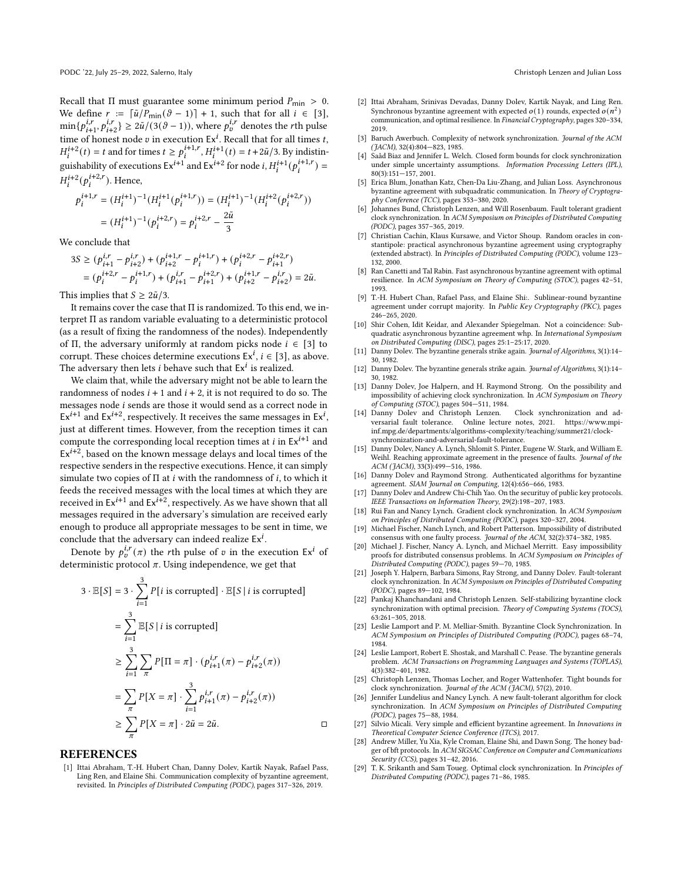Recall that  $\Pi$  must guarantee some minimum period  $P_{\text{min}} > 0$ . We define  $r := [\tilde{u}/P_{\text{min}}(\vartheta - 1)] + 1$ , such that for all  $i \in [3]$ ,  $\min\{p_{i+1}^{i,r}, p_{i+2}^{i,r}\}\geq 2\tilde{u}/(3(\vartheta-1)),$  where  $p_v^{i,r}$  denotes the rth pulse time of honest node v in execution  $Ex^i$ . Recall that for all times t,  $H_1^{i+2}(t) = t$  and for times  $t \ge p_i^{i+1,r}, H_1^{i+1}(t) = t + 2\tilde{u}/3$ . By indistinguishability of executions  $Ex^{i+1}$  and  $Ex^{i+2}$  for node  $i, H_i^{i+1}(p_i^{i+1,r}) =$  $H_i^{i+2}(p_i^{i+2,r})$ . Hence,

$$
\begin{split} p_i^{i+1,r} &= (H_i^{i+1})^{-1}(H_i^{i+1}(p_i^{i+1,r})) = (H_i^{i+1})^{-1}(H_i^{i+2}(p_i^{i+2,r})) \\ &= (H_i^{i+1})^{-1}(p_i^{i+2,r}) = p_i^{i+2,r} - \frac{2\tilde{u}}{3} \end{split}
$$

We conclude that

$$
3S \ge (p_{i+1}^{i,r} - p_{i+2}^{i,r}) + (p_{i+2}^{i+1,r} - p_i^{i+1,r}) + (p_i^{i+2,r} - p_{i+1}^{i+2,r})
$$
  
=  $(p_i^{i+2,r} - p_i^{i+1,r}) + (p_{i+1}^{i,r} - p_{i+1}^{i+2,r}) + (p_{i+2}^{i+1,r} - p_{i+2}^{i,r}) = 2\tilde{u}.$ 

This implies that  $S \geq 2\tilde{u}/3$ .

It remains cover the case that Π is randomized. To this end, we interpret Π as random variable evaluating to a deterministic protocol (as a result of fixing the randomness of the nodes). Independently of Π, the adversary uniformly at random picks node  $i \in [3]$  to corrupt. These choices determine executions  $Ex^{i}$ ,  $i \in [3]$ , as above. The adversary then lets *i* behave such that  $Ex<sup>i</sup>$  is realized.

We claim that, while the adversary might not be able to learn the randomness of nodes  $i + 1$  and  $i + 2$ , it is not required to do so. The messages node  $i$  sends are those it would send as a correct node in  $Ex^{i+1}$  and  $Ex^{i+2}$ , respectively. It receives the same messages in  $Ex^i$ , just at different times. However, from the reception times it can compute the corresponding local reception times at  $i$  in  $\mathrm{Ex}^{i+1}$  and  $Ex^{i+\frac{1}{2}}$ , based on the known message delays and local times of the respective senders in the respective executions. Hence, it can simply simulate two copies of  $\Pi$  at  $i$  with the randomness of  $i$ , to which it feeds the received messages with the local times at which they are received in  $\mathrm{Ex}^{i+1}$  and  $\mathrm{Ex}^{i+2}$  , respectively. As we have shown that all messages required in the adversary's simulation are received early enough to produce all appropriate messages to be sent in time, we conclude that the adversary can indeed realize  $Ex^i$ .

Denote by  $p_v^{i,r}(\pi)$  the rth pulse of v in the execution Ex<sup>i</sup> of deterministic protocol  $\pi$ . Using independence, we get that

$$
3 \cdot \mathbb{E}[S] = 3 \cdot \sum_{i=1}^{3} P[i \text{ is corrupted}] \cdot \mathbb{E}[S | i \text{ is corrupted}]
$$
  
= 
$$
\sum_{i=1}^{3} \mathbb{E}[S | i \text{ is corrupted}]
$$
  

$$
\geq \sum_{i=1}^{3} \sum_{\pi} P[\Pi = \pi] \cdot (p_{i+1}^{i,r}(\pi) - p_{i+2}^{i,r}(\pi))
$$
  
= 
$$
\sum_{\pi} P[X = \pi] \cdot \sum_{i=1}^{3} p_{i+1}^{i,r}(\pi) - p_{i+2}^{i,r}(\pi))
$$
  

$$
\geq \sum_{\pi} P[X = \pi] \cdot 2\tilde{u} = 2\tilde{u}.
$$

#### REFERENCES

<span id="page-9-21"></span>[1] Ittai Abraham, T.-H. Hubert Chan, Danny Dolev, Kartik Nayak, Rafael Pass, Ling Ren, and Elaine Shi. Communication complexity of byzantine agreement, revisited. In Principles of Distributed Computing (PODC), pages 317–326, 2019.

- <span id="page-9-2"></span>[2] Ittai Abraham, Srinivas Devadas, Danny Dolev, Kartik Nayak, and Ling Ren. Synchronous byzantine agreement with expected  $o(1)$  rounds, expected  $o(n^2)$ communication, and optimal resilience. In Financial Cryptography, pages 320–334, 2019.
- <span id="page-9-6"></span>[3] Baruch Awerbuch. Complexity of network synchronization. Journal of the ACM (JACM), 32(4):804—823, 1985.
- <span id="page-9-4"></span>[4] Saâd Biaz and Jennifer L. Welch. Closed form bounds for clock synchronization under simple uncertainty assumptions. Information Processing Letters (IPL), 80(3):151—157, 2001.
- <span id="page-9-19"></span>Erica Blum, Jonathan Katz, Chen-Da Liu-Zhang, and Julian Loss. Asynchronous byzantine agreement with subquadratic communication. In Theory of Cryptography Conference (TCC), pages 353–380, 2020.
- <span id="page-9-28"></span>[6] Johannes Bund, Christoph Lenzen, and Will Rosenbaum. Fault tolerant gradient clock synchronization. In ACM Symposium on Principles of Distributed Computing (PODC), pages 357–365, 2019.
- <span id="page-9-20"></span>[7] Christian Cachin, Klaus Kursawe, and Victor Shoup. Random oracles in constantipole: practical asynchronous byzantine agreement using cryptography (extended abstract). In Principles of Distributed Computing (PODC), volume 123– 132, 2000.
- <span id="page-9-18"></span>[8] Ran Canetti and Tal Rabin. Fast asynchronous byzantine agreement with optimal resilience. In ACM Symposium on Theory of Computing (STOC), pages 42–51, 1993.
- <span id="page-9-22"></span>[9] T.-H. Hubert Chan, Rafael Pass, and Elaine Shi:. Sublinear-round byzantine agreement under corrupt majority. In Public Key Cryptography (PKC), pages 246–265, 2020.
- <span id="page-9-23"></span>[10] Shir Cohen, Idit Keidar, and Alexander Spiegelman. Not a coincidence: Subquadratic asynchronous byzantine agreement whp. In International Symposium on Distributed Computing (DISC), pages 25:1–25:17, 2020.
- <span id="page-9-15"></span>[11] Danny Dolev. The byzantine generals strike again. Journal of Algorithms, 3(1):14– 30, 1982.
- <span id="page-9-16"></span>[12] Danny Dolev. The byzantine generals strike again. Journal of Algorithms, 3(1):14– 30, 1982.
- <span id="page-9-0"></span>[13] Danny Doley, Joe Halpern, and H. Raymond Strong. On the possibility and impossibility of achieving clock synchronization. In ACM Symposium on Theory of Computing (STOC), pages 504—511, 1984.
- <span id="page-9-7"></span>[14] Danny Dolev and Christoph Lenzen. Clock synchronization and adversarial fault tolerance. Online lecture notes, 2021. https://www.mpiinf.mpg.de/departments/algorithms-complexity/teaching/summer21/clocksynchronization-and-adversarial-fault-tolerance.
- <span id="page-9-13"></span>[15] Danny Dolev, Nancy A. Lynch, Shlomit S. Pinter, Eugene W. Stark, and William E. Weihl. Reaching approximate agreement in the presence of faults. Journal of the ACM (JACM), 33(3):499—516, 1986.
- <span id="page-9-11"></span>[16] Danny Dolev and Raymond Strong. Authenticated algorithms for byzantine agreement. SIAM Journal on Computing, 12(4):656–666, 1983.
- <span id="page-9-17"></span>[17] Danny Dolev and Andrew Chi-Chih Yao. On the securituy of public key protocols. IEEE Transactions on Information Theory, 29(2):198–207, 1983.
- <span id="page-9-26"></span>[18] Rui Fan and Nancy Lynch. Gradient clock synchronization. In ACM Symposium on Principles of Distributed Computing (PODC), pages 320–327, 2004.
- <span id="page-9-5"></span>[19] Michael Fischer, Nanch Lynch, and Robert Patterson. Impossibility of distributed consensus with one faulty process. Journal of the ACM, 32(2):374-382, 1985.
- <span id="page-9-14"></span>[20] Michael J. Fischer, Nancy A. Lynch, and Michael Merritt. Easy impossibility proofs for distributed consensus problems. In ACM Symposium on Principles of Distributed Computing (PODC), pages 59—70, 1985.
- <span id="page-9-12"></span>[21] Joseph Y. Halpern, Barbara Simons, Ray Strong, and Danny Dolev. Fault-tolerant clock synchronization. In ACM Symposium on Principles of Distributed Computing (PODC), pages 89—102, 1984.
- <span id="page-9-10"></span>[22] Pankaj Khanchandani and Christoph Lenzen. Self-stabilizing byzantine clock synchronization with optimal precision. Theory of Computing Systems (TOCS), 63:261–305, 2018.
- <span id="page-9-3"></span>[23] Leslie Lamport and P. M. Melliar-Smith. Byzantine Clock Synchronization. In ACM Symposium on Principles of Distributed Computing (PODC), pages 68–74, 1984.
- <span id="page-9-8"></span>[24] Leslie Lamport, Robert E. Shostak, and Marshall C. Pease. The byzantine generals problem. ACM Transactions on Programming Languages and Systems (TOPLAS),  $4(3):382-401, 1982.$
- <span id="page-9-27"></span>[25] Christoph Lenzen, Thomas Locher, and Roger Wattenhofer. Tight bounds for clock synchronization. Journal of the ACM (JACM), 57(2), 2010.
- <span id="page-9-9"></span>[26] Jennifer Lundelius and Nancy Lynch. A new fault-tolerant algorithm for clock synchronization. In ACM Symposium on Principles of Distributed Computing (PODC), pages 75—88, 1984.
- <span id="page-9-24"></span>[27] Silvio Micali. Very simple and efficient byzantine agreement. In Innovations in Theoretical Computer Science Conference (ITCS), 2017.
- <span id="page-9-25"></span>[28] Andrew Miller, Yu Xia, Kyle Croman, Elaine Shi, and Dawn Song. The honey badger of bft protocols. In ACM SIGSAC Conference on Computer and Communications Security (CCS), pages  $31-42$ , 2016.
- <span id="page-9-1"></span>[29] T. K. Srikanth and Sam Toueg. Optimal clock synchronization. In Principles of Distributed Computing (PODC), pages 71–86, 1985.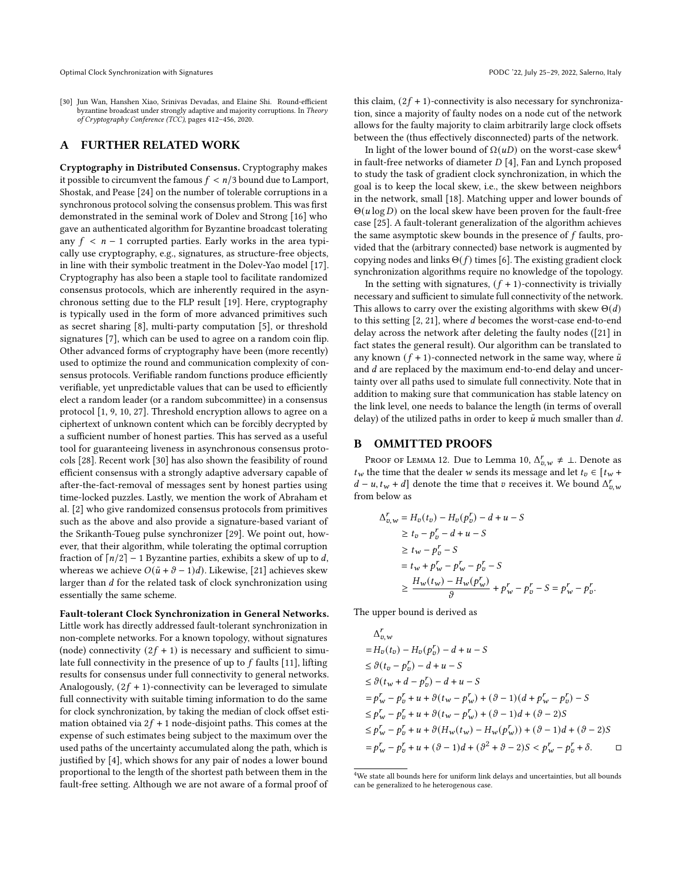Optimal Clock Synchronization with Signatures PODC '22, July 25–29, 2022, Salerno, Italy

<span id="page-10-2"></span>[30] Jun Wan, Hanshen Xiao, Srinivas Devadas, and Elaine Shi. Round-efficient byzantine broadcast under strongly adaptive and majority corruptions. In Theory of Cryptography Conference (TCC), pages 412–456, 2020.

# <span id="page-10-0"></span>A FURTHER RELATED WORK

Cryptography in Distributed Consensus. Cryptography makes it possible to circumvent the famous  $f < n/3$  bound due to Lamport, Shostak, and Pease [\[24\]](#page-9-8) on the number of tolerable corruptions in a synchronous protocol solving the consensus problem. This was first demonstrated in the seminal work of Dolev and Strong [\[16\]](#page-9-11) who gave an authenticated algorithm for Byzantine broadcast tolerating any  $f \leq n - 1$  corrupted parties. Early works in the area typically use cryptography, e.g., signatures, as structure-free objects, in line with their symbolic treatment in the Dolev-Yao model [\[17\]](#page-9-17). Cryptography has also been a staple tool to facilitate randomized consensus protocols, which are inherently required in the asynchronous setting due to the FLP result [\[19\]](#page-9-5). Here, cryptography is typically used in the form of more advanced primitives such as secret sharing [\[8\]](#page-9-18), multi-party computation [\[5\]](#page-9-19), or threshold signatures [\[7\]](#page-9-20), which can be used to agree on a random coin flip. Other advanced forms of cryptography have been (more recently) used to optimize the round and communication complexity of consensus protocols. Verifiable random functions produce efficiently verifiable, yet unpredictable values that can be used to efficiently elect a random leader (or a random subcommittee) in a consensus protocol [\[1,](#page-9-21) [9,](#page-9-22) [10,](#page-9-23) [27\]](#page-9-24). Threshold encryption allows to agree on a ciphertext of unknown content which can be forcibly decrypted by a sufficient number of honest parties. This has served as a useful tool for guaranteeing liveness in asynchronous consensus protocols [\[28\]](#page-9-25). Recent work [\[30\]](#page-10-2) has also shown the feasibility of round efficient consensus with a strongly adaptive adversary capable of after-the-fact-removal of messages sent by honest parties using time-locked puzzles. Lastly, we mention the work of Abraham et al. [\[2\]](#page-9-2) who give randomized consensus protocols from primitives such as the above and also provide a signature-based variant of the Srikanth-Toueg pulse synchronizer [\[29\]](#page-9-1). We point out, however, that their algorithm, while tolerating the optimal corruption fraction of  $\lceil n/2 \rceil - 1$  Byzantine parties, exhibits a skew of up to d, whereas we achieve  $O(\tilde{u} + \vartheta - 1)d$ . Likewise, [\[21\]](#page-9-12) achieves skew larger than  $d$  for the related task of clock synchronization using essentially the same scheme.

Fault-tolerant Clock Synchronization in General Networks. Little work has directly addressed fault-tolerant synchronization in non-complete networks. For a known topology, without signatures (node) connectivity  $(2f + 1)$  is necessary and sufficient to simulate full connectivity in the presence of up to  $f$  faults [\[11\]](#page-9-15), lifting results for consensus under full connectivity to general networks. Analogously,  $(2f + 1)$ -connectivity can be leveraged to simulate full connectivity with suitable timing information to do the same for clock synchronization, by taking the median of clock offset estimation obtained via  $2f + 1$  node-disjoint paths. This comes at the expense of such estimates being subject to the maximum over the used paths of the uncertainty accumulated along the path, which is justified by [\[4\]](#page-9-4), which shows for any pair of nodes a lower bound proportional to the length of the shortest path between them in the fault-free setting. Although we are not aware of a formal proof of

this claim,  $(2f + 1)$ -connectivity is also necessary for synchronization, since a majority of faulty nodes on a node cut of the network allows for the faulty majority to claim arbitrarily large clock offsets between the (thus effectively disconnected) parts of the network.

In light of the lower bound of  $\Omega(u)$  on the worst-case skew<sup>[4](#page-10-3)</sup> in fault-free networks of diameter  $D$  [\[4\]](#page-9-4), Fan and Lynch proposed to study the task of gradient clock synchronization, in which the goal is to keep the local skew, i.e., the skew between neighbors in the network, small [\[18\]](#page-9-26). Matching upper and lower bounds of  $\Theta(u \log D)$  on the local skew have been proven for the fault-free case [\[25\]](#page-9-27). A fault-tolerant generalization of the algorithm achieves the same asymptotic skew bounds in the presence of  $f$  faults, provided that the (arbitrary connected) base network is augmented by copying nodes and links  $\Theta(f)$  times [\[6\]](#page-9-28). The existing gradient clock synchronization algorithms require no knowledge of the topology.

In the setting with signatures,  $(f + 1)$ -connectivity is trivially necessary and sufficient to simulate full connectivity of the network. This allows to carry over the existing algorithms with skew  $\Theta(d)$ to this setting  $[2, 21]$  $[2, 21]$  $[2, 21]$ , where  $d$  becomes the worst-case end-to-end delay across the network after deleting the faulty nodes ([\[21\]](#page-9-12) in fact states the general result). Our algorithm can be translated to any known  $(f + 1)$ -connected network in the same way, where  $\tilde{u}$ and  $d$  are replaced by the maximum end-to-end delay and uncertainty over all paths used to simulate full connectivity. Note that in addition to making sure that communication has stable latency on the link level, one needs to balance the length (in terms of overall delay) of the utilized paths in order to keep  $\tilde{u}$  much smaller than  $d$ .

### <span id="page-10-1"></span>B OMMITTED PROOFS

Proof of Lemma [12.](#page-5-2) Due to Lemma [10,](#page-4-2)  $\Delta_{v,w}^r \neq \bot$ . Denote as  $t_w$  the time that the dealer w sends its message and let  $t_v \in [t_w +$  $d - u, t_w + d$  denote the time that v receives it. We bound  $\Delta_{v,w}^r$ from below as

$$
\Delta_{0,w}^{r} = H_{v}(t_{v}) - H_{v}(p_{v}^{r}) - d + u - S
$$
\n
$$
\geq t_{v} - p_{v}^{r} - d + u - S
$$
\n
$$
\geq t_{w} - p_{v}^{r} - S
$$
\n
$$
= t_{w} + p_{w}^{r} - p_{w}^{r} - p_{v}^{r} - S
$$
\n
$$
\geq \frac{H_{w}(t_{w}) - H_{w}(p_{w}^{r})}{\vartheta} + p_{w}^{r} - p_{v}^{r} - S = p_{w}^{r} - p_{v}^{r}.
$$

The upper bound is derived as

$$
\Delta_{v,w}^{r}
$$
\n
$$
= H_{v}(t_{v}) - H_{v}(p_{v}^{r}) - d + u - S
$$
\n
$$
\leq \vartheta(t_{v} - p_{v}^{r}) - d + u - S
$$
\n
$$
\leq \vartheta(t_{w} + d - p_{v}^{r}) - d + u - S
$$
\n
$$
= p_{w}^{r} - p_{v}^{r} + u + \vartheta(t_{w} - p_{w}^{r}) + (\vartheta - 1)(d + p_{w}^{r} - p_{v}^{r}) - S
$$
\n
$$
\leq p_{w}^{r} - p_{v}^{r} + u + \vartheta(t_{w} - p_{w}^{r}) + (\vartheta - 1)d + (\vartheta - 2)S
$$
\n
$$
\leq p_{w}^{r} - p_{v}^{r} + u + \vartheta(H_{w}(t_{w}) - H_{w}(p_{w}^{r})) + (\vartheta - 1)d + (\vartheta - 2)S
$$
\n
$$
= p_{w}^{r} - p_{v}^{r} + u + (\vartheta - 1)d + (\vartheta^{2} + \vartheta - 2)S < p_{w}^{r} - p_{v}^{r} + \vartheta. \qquad \Box
$$

<span id="page-10-3"></span><sup>&</sup>lt;sup>4</sup>We state all bounds here for uniform link delays and uncertainties, but all bounds can be generalized to he heterogenous case.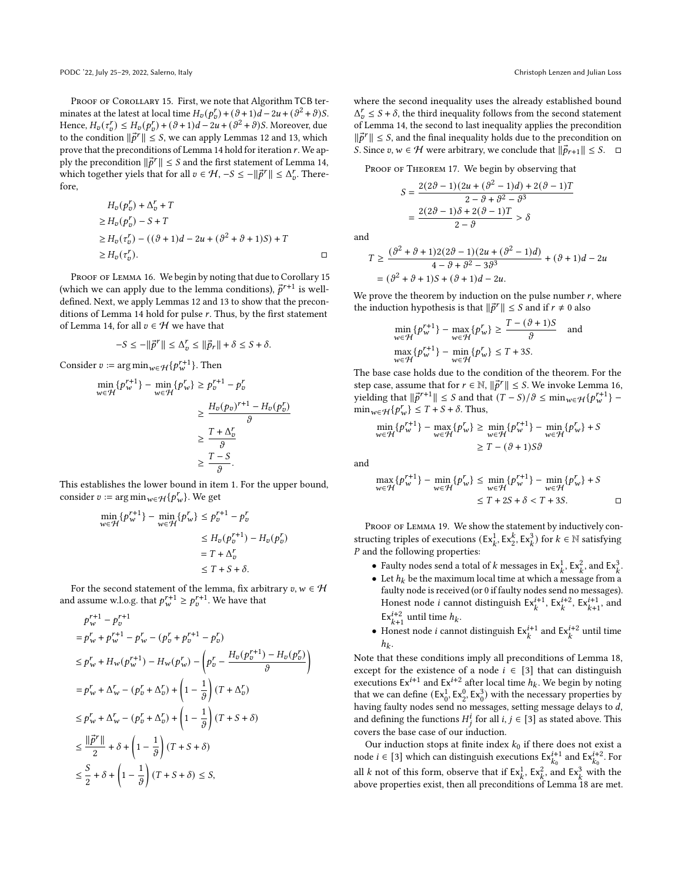PROOF OF COROLLARY [15.](#page-6-2) First, we note that Algorithm TCB terminates at the latest at local time  $H_v(p_v^r) + (\vartheta + 1)d - 2u + (\vartheta^2 + \vartheta)S$ . Hence,  $H_v(\tau_v^r) \leq H_v(p_v^r) + (\vartheta + 1)d - 2u + (\vartheta^2 + \vartheta)S$ . Moreover, due to the condition  $\|\vec{p}^r\| \leq S$ , we can apply Lemmas [12](#page-5-2) and [13,](#page-5-3) which prove that the preconditions of Lemma [14](#page-5-1) hold for iteration  $r$ . We apply the precondition  $\|\vec{p}^r\|$  ≤ S and the first statement of Lemma [14,](#page-5-1) which together yiels that for all  $v \in H$ ,  $-S \le -||\vec{p}^r|| \le \Delta_v^r$ . Therefore,

$$
H_v(p_v^r) + \Delta_v^r + T
$$
  
\n
$$
\geq H_v(p_v^r) - S + T
$$
  
\n
$$
\geq H_v(\tau_v^r) - ((\vartheta + 1)d - 2u + (\vartheta^2 + \vartheta + 1)S) + T
$$
  
\n
$$
\geq H_v(\tau_v^r).
$$

PROOF OF LEMMA [16.](#page-6-1) We begin by noting that due to Corollary [15](#page-6-2) (which we can apply due to the lemma conditions),  $\vec{p}^{r+1}$  is welldefined. Next, we apply Lemmas [12](#page-5-2) and [13](#page-5-3) to show that the precon-ditions of Lemma [14](#page-5-1) hold for pulse  $r$ . Thus, by the first statement of Lemma [14,](#page-5-1) for all  $v \in \mathcal{H}$  we have that

$$
-S \le -\|\vec{p}^r\| \le \Delta_p^r \le \|\vec{p}_r\| + \delta \le S + \delta.
$$

Consider  $v := \argmin_{w \in \mathcal{H}} \{ p_w^{r+1} \}$ . Then

 $\sim$ 1.1

$$
\min_{w \in \mathcal{H}} \{p_w^{r+1}\} - \min_{w \in \mathcal{H}} \{p_w^r\} \ge p_v^{r+1} - p_v^r
$$
  

$$
\ge \frac{H_v(p_v)^{r+1} - H_v(p_v^r)}{\vartheta}
$$
  

$$
\ge \frac{T + \Delta_v^r}{\vartheta}
$$
  

$$
\ge \frac{T - S}{\vartheta}.
$$

This establishes the lower bound in item 1. For the upper bound, consider  $v := \argmin_{w \in \mathcal{H}} \{p_w^r\}$ . We get

$$
\min_{w \in \mathcal{H}} \{p_w^{r+1}\} - \min_{w \in \mathcal{H}} \{p_w^r\} \le p_v^{r+1} - p_v^r
$$
  
\n
$$
\le H_v(p_v^{r+1}) - H_v(p_v^r)
$$
  
\n
$$
= T + \Delta_v^r
$$
  
\n
$$
\le T + S + \delta.
$$

For the second statement of the lemma, fix arbitrary  $v, w \in H$ and assume w.l.o.g. that  $p_w^{r+1} \geq p_v^{r+1}$ . We have that

$$
p_{w}^{r+1} - p_{v}^{r+1}
$$
  
\n
$$
= p_{w}^{r} + p_{w}^{r+1} - p_{w}^{r} - (p_{v}^{r} + p_{v}^{r+1} - p_{v}^{r})
$$
  
\n
$$
\leq p_{w}^{r} + H_{w}(p_{w}^{r+1}) - H_{w}(p_{w}^{r}) - \left(p_{v}^{r} - \frac{H_{v}(p_{v}^{r+1}) - H_{v}(p_{v}^{r})}{\vartheta}\right)
$$
  
\n
$$
= p_{w}^{r} + \Delta_{w}^{r} - (p_{v}^{r} + \Delta_{v}^{r}) + \left(1 - \frac{1}{\vartheta}\right)(T + \Delta_{v}^{r})
$$
  
\n
$$
\leq p_{w}^{r} + \Delta_{w}^{r} - (p_{v}^{r} + \Delta_{v}^{r}) + \left(1 - \frac{1}{\vartheta}\right)(T + S + \delta)
$$
  
\n
$$
\leq \frac{|\vec{p}^{r}|}{2} + \delta + \left(1 - \frac{1}{\vartheta}\right)(T + S + \delta)
$$
  
\n
$$
\leq \frac{S}{2} + \delta + \left(1 - \frac{1}{\vartheta}\right)(T + S + \delta) \leq S,
$$

where the second inequality uses the already established bound  $\Delta_{v}^{r} \leq S + \delta$ , the third inequality follows from the second statement of Lemma [14,](#page-5-1) the second to last inequality applies the precondition  $\|\vec{p}^r\| \leq S$ , and the final inequality holds due to the precondition on S. Since  $v, w \in \mathcal{H}$  were arbitrary, we conclude that  $\|\vec{p}_{r+1}\| \leq S$ .  $\Box$ 

PROOF OF THEOREM [17.](#page-7-3) We begin by observing that

$$
S = \frac{2(2\vartheta - 1)(2u + (\vartheta^2 - 1)d) + 2(\vartheta - 1)T}{2 - \vartheta + \vartheta^2 - \vartheta^3}
$$

$$
= \frac{2(2\vartheta - 1)\delta + 2(\vartheta - 1)T}{2 - \vartheta} > \delta
$$

and

$$
T \ge \frac{(\vartheta^2 + \vartheta + 1)2(2\vartheta - 1)(2u + (\vartheta^2 - 1)d)}{4 - \vartheta + \vartheta^2 - 3\vartheta^3} + (\vartheta + 1)d - 2u
$$
  
=  $(\vartheta^2 + \vartheta + 1)S + (\vartheta + 1)d - 2u$ .

We prove the theorem by induction on the pulse number  $r$ , where the induction hypothesis is that  $\|\vec{p}^r\| \leq S$  and if  $r \neq 0$  also

$$
\min_{w \in \mathcal{H}} \{ p_w^{r+1} \} - \max_{w \in \mathcal{H}} \{ p_w^r \} \ge \frac{T - (\vartheta + 1)S}{\vartheta} \quad \text{and}
$$
\n
$$
\max_{w \in \mathcal{H}} \{ p_w^{r+1} \} - \min_{w \in \mathcal{H}} \{ p_w^r \} \le T + 3S.
$$

The base case holds due to the condition of the theorem. For the step case, assume that for  $r \in \mathbb{N}$ ,  $\|\vec{p}^r\| \leq S$ . We invoke Lemma [16,](#page-6-1) yielding that  $\|\vec{p}^{r+1}\|$  ≤ S and that  $(T-S)/\vartheta \leq \min_{w \in \mathcal{H}} \{p_w^{r+1}\}$  –  $\min_{w \in \mathcal{H}} \{ p_w^r \} \leq T + S + \delta.$  Thus,

$$
\min_{w \in \mathcal{H}} \{ p_w^{r+1} \} - \max_{w \in \mathcal{H}} \{ p_w^r \} \ge \min_{w \in \mathcal{H}} \{ p_w^{r+1} \} - \min_{w \in \mathcal{H}} \{ p_w^r \} + S
$$

$$
\ge T - (\partial + 1)S\partial
$$

and

$$
\max_{w \in \mathcal{H}} \{ p_w^{r+1} \} - \min_{w \in \mathcal{H}} \{ p_w^r \} \le \min_{w \in \mathcal{H}} \{ p_w^{r+1} \} - \min_{w \in \mathcal{H}} \{ p_w^r \} + S
$$
  

$$
\le T + 2S + \delta < T + 3S.
$$

PROOF OF LEMMA [19.](#page-8-0) We show the statement by inductively constructing triples of executions  $(Ex_k^1, Ex_k^2, Ex_k^3)$  for  $k \in \mathbb{N}$  satisfying  $P$  and the following properties:

- Faulty nodes send a total of k messages in  $\text{Ex}_{k}^{1}$ ,  $\text{Ex}_{k}^{2}$ , and  $\text{Ex}_{k}^{3}$ .
- Let  $h_k$  be the maximum local time at which a message from a faulty node is received (or 0 if faulty nodes send no messages). Honest node *i* cannot distinguish  $Ex_k^{i+1}$ ,  $Ex_k^{i+2}$ ,  $Ex_{k+1}^{i+1}$ , and  $\mathsf{Ex}_{k+1}^{i+2}$  until time  $h_k$ .
- Honest node *i* cannot distinguish  $Ex_k^{i+1}$  and  $Ex_k^{i+2}$  until time  $h_k$ .

Note that these conditions imply all preconditions of Lemma [18,](#page-7-2) except for the existence of a node  $i \in [3]$  that can distinguish executions  $Ex^{i+1}$  and  $Ex^{i+2}$  after local time  $h_k$ . We begin by noting that we can define  $(Ex_0^1, Ex_2^0, Ex_0^3)$  with the necessary properties by having faulty nodes send no messages, setting message delays to  $d$ , and defining the functions  $H_j^i$  for all  $i, j \in [3]$  as stated above. This covers the base case of our induction.

Our induction stops at finite index  $k_0$  if there does not exist a node  $i \in [3]$  which can distinguish executions  $Ex_{k_0}^{i+1}$  and  $Ex_{k_0}^{i+2}$ . For all k not of this form, observe that if  $Ex_k^1$ ,  $Ex_k^2$ , and  $Ex_k^3$  with the above properties exist, then all preconditions of Lemma [18](#page-7-2) are met.